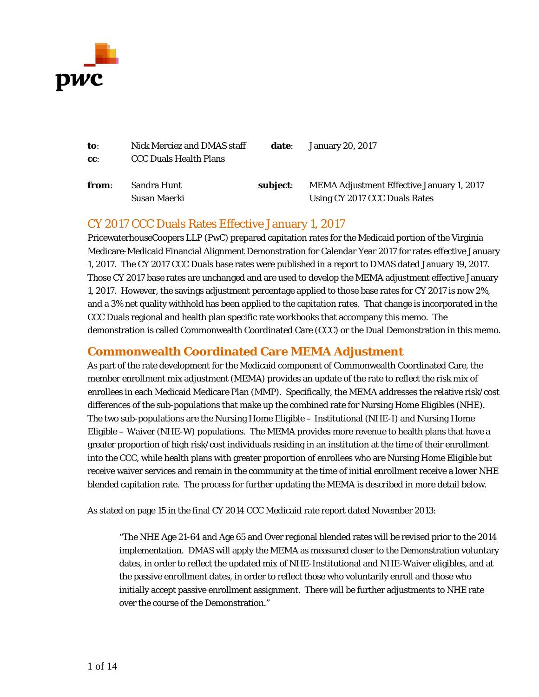

| to:    | Nick Merciez and DMAS staff   | date:    | January 20, 2017                          |
|--------|-------------------------------|----------|-------------------------------------------|
| $cc$ : | <b>CCC Duals Health Plans</b> |          |                                           |
| from:  | Sandra Hunt                   | subiect: | MEMA Adjustment Effective January 1, 2017 |
|        | Susan Maerki                  |          | Using CY 2017 CCC Duals Rates             |

### CY 2017 CCC Duals Rates Effective January 1, 2017

PricewaterhouseCoopers LLP (PwC) prepared capitation rates for the Medicaid portion of the Virginia Medicare-Medicaid Financial Alignment Demonstration for Calendar Year 2017 for rates effective January 1, 2017. The CY 2017 CCC Duals base rates were published in a report to DMAS dated January 19, 2017. Those CY 2017 base rates are unchanged and are used to develop the MEMA adjustment effective January 1, 2017. However, the savings adjustment percentage applied to those base rates for CY 2017 is now 2%, and a 3% net quality withhold has been applied to the capitation rates. That change is incorporated in the CCC Duals regional and health plan specific rate workbooks that accompany this memo. The demonstration is called Commonwealth Coordinated Care (CCC) or the Dual Demonstration in this memo.

### **Commonwealth Coordinated Care MEMA Adjustment**

As part of the rate development for the Medicaid component of Commonwealth Coordinated Care, the member enrollment mix adjustment (MEMA) provides an update of the rate to reflect the risk mix of enrollees in each Medicaid Medicare Plan (MMP). Specifically, the MEMA addresses the relative risk/cost differences of the sub-populations that make up the combined rate for Nursing Home Eligibles (NHE). The two sub-populations are the Nursing Home Eligible – Institutional (NHE-I) and Nursing Home Eligible – Waiver (NHE-W) populations. The MEMA provides more revenue to health plans that have a greater proportion of high risk/cost individuals residing in an institution at the time of their enrollment into the CCC, while health plans with greater proportion of enrollees who are Nursing Home Eligible but receive waiver services and remain in the community at the time of initial enrollment receive a lower NHE blended capitation rate. The process for further updating the MEMA is described in more detail below.

As stated on page 15 in the final CY 2014 CCC Medicaid rate report dated November 2013:

"The NHE Age 21-64 and Age 65 and Over regional blended rates will be revised prior to the 2014 implementation. DMAS will apply the MEMA as measured closer to the Demonstration voluntary dates, in order to reflect the updated mix of NHE-Institutional and NHE-Waiver eligibles, and at the passive enrollment dates, in order to reflect those who voluntarily enroll and those who initially accept passive enrollment assignment. There will be further adjustments to NHE rate over the course of the Demonstration."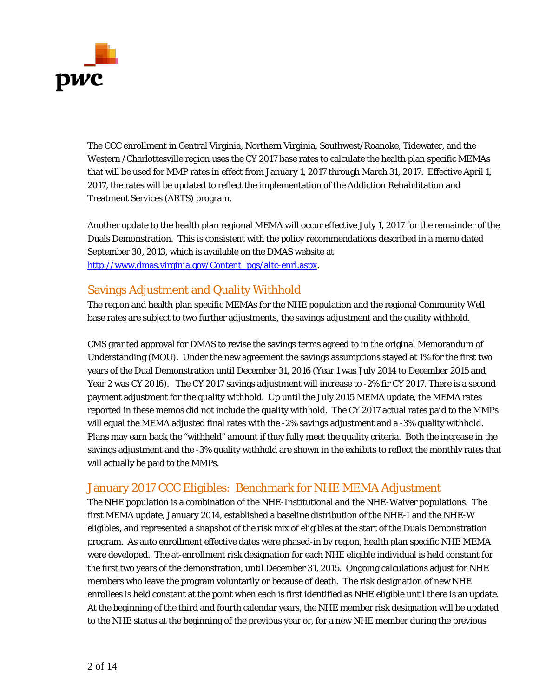

The CCC enrollment in Central Virginia, Northern Virginia, Southwest/Roanoke, Tidewater, and the Western /Charlottesville region uses the CY 2017 base rates to calculate the health plan specific MEMAs that will be used for MMP rates in effect from January 1, 2017 through March 31, 2017. Effective April 1, 2017, the rates will be updated to reflect the implementation of the Addiction Rehabilitation and Treatment Services (ARTS) program.

Another update to the health plan regional MEMA will occur effective July 1, 2017 for the remainder of the Duals Demonstration. This is consistent with the policy recommendations described in a memo dated September 30, 2013, which is available on the DMAS website at [http://www.dmas.virginia.gov/Content\\_pgs/altc-enrl.aspx.](http://www.dmas.virginia.gov/Content_pgs/altc-enrl.aspx)

### Savings Adjustment and Quality Withhold

The region and health plan specific MEMAs for the NHE population and the regional Community Well base rates are subject to two further adjustments, the savings adjustment and the quality withhold.

CMS granted approval for DMAS to revise the savings terms agreed to in the original Memorandum of Understanding (MOU). Under the new agreement the savings assumptions stayed at 1% for the first two years of the Dual Demonstration until December 31, 2016 (Year 1 was July 2014 to December 2015 and Year 2 was CY 2016). The CY 2017 savings adjustment will increase to -2% fir CY 2017. There is a second payment adjustment for the quality withhold. Up until the July 2015 MEMA update, the MEMA rates reported in these memos did not include the quality withhold. The CY 2017 actual rates paid to the MMPs will equal the MEMA adjusted final rates with the -2% savings adjustment and a -3% quality withhold. Plans may earn back the "withheld" amount if they fully meet the quality criteria. Both the increase in the savings adjustment and the -3% quality withhold are shown in the exhibits to reflect the monthly rates that will actually be paid to the MMPs.

### January 2017 CCC Eligibles: Benchmark for NHE MEMA Adjustment

The NHE population is a combination of the NHE-Institutional and the NHE-Waiver populations. The first MEMA update, January 2014, established a baseline distribution of the NHE-I and the NHE-W eligibles, and represented a snapshot of the risk mix of eligibles at the start of the Duals Demonstration program. As auto enrollment effective dates were phased-in by region, health plan specific NHE MEMA were developed. The at-enrollment risk designation for each NHE eligible individual is held constant for the first two years of the demonstration, until December 31, 2015. Ongoing calculations adjust for NHE members who leave the program voluntarily or because of death. The risk designation of new NHE enrollees is held constant at the point when each is first identified as NHE eligible until there is an update. At the beginning of the third and fourth calendar years, the NHE member risk designation will be updated to the NHE status at the beginning of the previous year or, for a new NHE member during the previous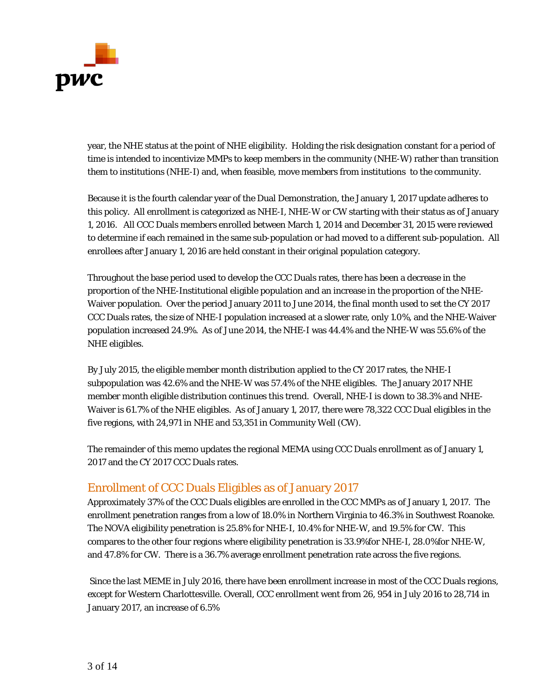

year, the NHE status at the point of NHE eligibility. Holding the risk designation constant for a period of time is intended to incentivize MMPs to keep members in the community (NHE-W) rather than transition them to institutions (NHE-I) and, when feasible, move members from institutions to the community.

Because it is the fourth calendar year of the Dual Demonstration, the January 1, 2017 update adheres to this policy. All enrollment is categorized as NHE-I, NHE-W or CW starting with their status as of January 1, 2016. All CCC Duals members enrolled between March 1, 2014 and December 31, 2015 were reviewed to determine if each remained in the same sub-population or had moved to a different sub-population. All enrollees after January 1, 2016 are held constant in their original population category.

Throughout the base period used to develop the CCC Duals rates, there has been a decrease in the proportion of the NHE-Institutional eligible population and an increase in the proportion of the NHE-Waiver population. Over the period January 2011 to June 2014, the final month used to set the CY 2017 CCC Duals rates, the size of NHE-I population increased at a slower rate, only 1.0%, and the NHE-Waiver population increased 24.9%. As of June 2014, the NHE-I was 44.4% and the NHE-W was 55.6% of the NHE eligibles.

By July 2015, the eligible member month distribution applied to the CY 2017 rates, the NHE-I subpopulation was 42.6% and the NHE-W was 57.4% of the NHE eligibles. The January 2017 NHE member month eligible distribution continues this trend. Overall, NHE-I is down to 38.3% and NHE-Waiver is 61.7% of the NHE eligibles. As of January 1, 2017, there were 78,322 CCC Dual eligibles in the five regions, with 24,971 in NHE and 53,351 in Community Well (CW).

The remainder of this memo updates the regional MEMA using CCC Duals enrollment as of January 1, 2017 and the CY 2017 CCC Duals rates.

## Enrollment of CCC Duals Eligibles as of January 2017

Approximately 37% of the CCC Duals eligibles are enrolled in the CCC MMPs as of January 1, 2017. The enrollment penetration ranges from a low of 18.0% in Northern Virginia to 46.3% in Southwest Roanoke. The NOVA eligibility penetration is 25.8% for NHE-I, 10.4% for NHE-W, and 19.5% for CW. This compares to the other four regions where eligibility penetration is 33.9%for NHE-I, 28.0%for NHE-W, and 47.8% for CW. There is a 36.7% average enrollment penetration rate across the five regions.

Since the last MEME in July 2016, there have been enrollment increase in most of the CCC Duals regions, except for Western Charlottesville. Overall, CCC enrollment went from 26, 954 in July 2016 to 28,714 in January 2017, an increase of 6.5%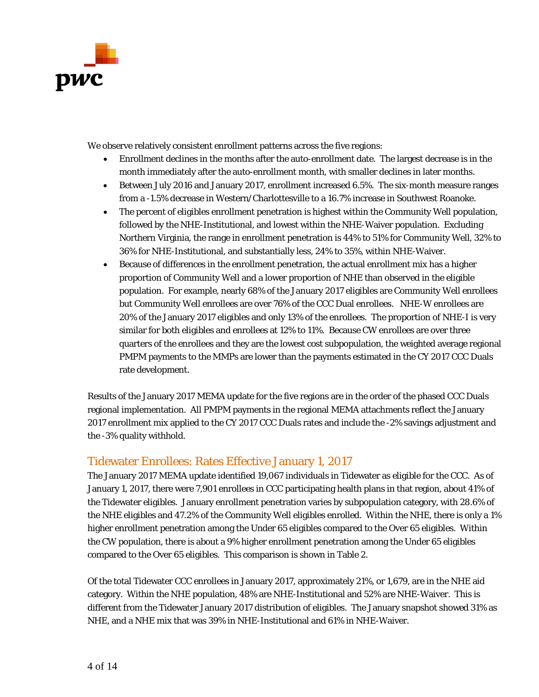

We observe relatively consistent enrollment patterns across the five regions:

- Enrollment declines in the months after the auto-enrollment date. The largest decrease is in the month immediately after the auto-enrollment month, with smaller declines in later months.
- Between July 2016 and January 2017, enrollment increased 6.5%. The six-month measure ranges from a -1.5% decrease in Western/Charlottesville to a 16.7% increase in Southwest Roanoke.
- The percent of eligibles enrollment penetration is highest within the Community Well population, followed by the NHE-Institutional, and lowest within the NHE-Waiver population. Excluding Northern Virginia, the range in enrollment penetration is 44% to 51% for Community Well, 32% to 36% for NHE-Institutional, and substantially less, 24% to 35%, within NHE-Waiver.
- Because of differences in the enrollment penetration, the actual enrollment mix has a higher proportion of Community Well and a lower proportion of NHE than observed in the eligible population. For example, nearly 68% of the January 2017 eligibles are Community Well enrollees but Community Well enrollees are over 76% of the CCC Dual enrollees. NHE-W enrollees are 20% of the January 2017 eligibles and only 13% of the enrollees. The proportion of NHE-I is very similar for both eligibles and enrollees at 12% to 11%. Because CW enrollees are over three quarters of the enrollees and they are the lowest cost subpopulation, the weighted average regional PMPM payments to the MMPs are lower than the payments estimated in the CY 2017 CCC Duals rate development.

Results of the January 2017 MEMA update for the five regions are in the order of the phased CCC Duals regional implementation. All PMPM payments in the regional MEMA attachments reflect the January 2017 enrollment mix applied to the CY 2017 CCC Duals rates and include the -2% savings adjustment and the -3% quality withhold.

### Tidewater Enrollees: Rates Effective January 1, 2017

The January 2017 MEMA update identified 19,067 individuals in Tidewater as eligible for the CCC. As of January 1, 2017, there were 7,901 enrollees in CCC participating health plans in that region, about 41% of the Tidewater eligibles. January enrollment penetration varies by subpopulation category, with 28.6% of the NHE eligibles and 47.2% of the Community Well eligibles enrolled. Within the NHE, there is only a 1% higher enrollment penetration among the Under 65 eligibles compared to the Over 65 eligibles. Within the CW population, there is about a 9% higher enrollment penetration among the Under 65 eligibles compared to the Over 65 eligibles. This comparison is shown in Table 2.

Of the total Tidewater CCC enrollees in January 2017, approximately 21%, or 1,679, are in the NHE aid category. Within the NHE population, 48% are NHE-Institutional and 52% are NHE-Waiver. This is different from the Tidewater January 2017 distribution of eligibles. The January snapshot showed 31% as NHE, and a NHE mix that was 39% in NHE-Institutional and 61% in NHE-Waiver.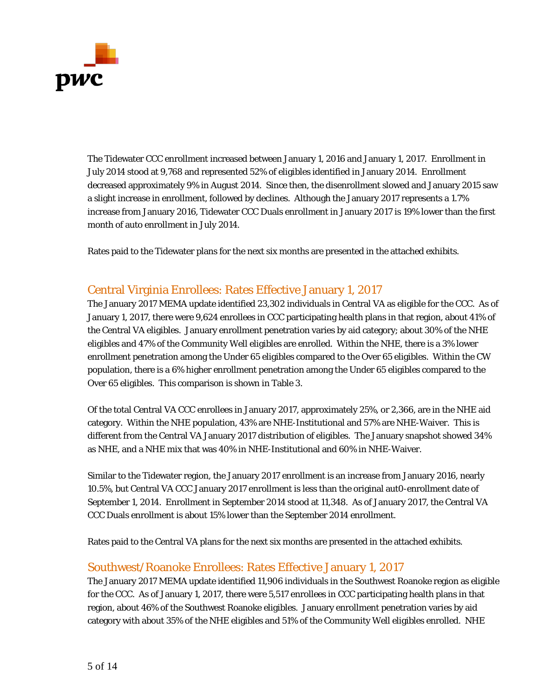

The Tidewater CCC enrollment increased between January 1, 2016 and January 1, 2017. Enrollment in July 2014 stood at 9,768 and represented 52% of eligibles identified in January 2014. Enrollment decreased approximately 9% in August 2014. Since then, the disenrollment slowed and January 2015 saw a slight increase in enrollment, followed by declines. Although the January 2017 represents a 1.7% increase from January 2016, Tidewater CCC Duals enrollment in January 2017 is 19% lower than the first month of auto enrollment in July 2014.

Rates paid to the Tidewater plans for the next six months are presented in the attached exhibits.

### Central Virginia Enrollees: Rates Effective January 1, 2017

The January 2017 MEMA update identified 23,302 individuals in Central VA as eligible for the CCC. As of January 1, 2017, there were 9,624 enrollees in CCC participating health plans in that region, about 41% of the Central VA eligibles. January enrollment penetration varies by aid category; about 30% of the NHE eligibles and 47% of the Community Well eligibles are enrolled. Within the NHE, there is a 3% lower enrollment penetration among the Under 65 eligibles compared to the Over 65 eligibles. Within the CW population, there is a 6% higher enrollment penetration among the Under 65 eligibles compared to the Over 65 eligibles. This comparison is shown in Table 3.

Of the total Central VA CCC enrollees in January 2017, approximately 25%, or 2,366, are in the NHE aid category. Within the NHE population, 43% are NHE-Institutional and 57% are NHE-Waiver. This is different from the Central VA January 2017 distribution of eligibles. The January snapshot showed 34% as NHE, and a NHE mix that was 40% in NHE-Institutional and 60% in NHE-Waiver.

Similar to the Tidewater region, the January 2017 enrollment is an increase from January 2016, nearly 10.5%, but Central VA CCC January 2017 enrollment is less than the original aut0-enrollment date of September 1, 2014. Enrollment in September 2014 stood at 11,348. As of January 2017, the Central VA CCC Duals enrollment is about 15% lower than the September 2014 enrollment.

Rates paid to the Central VA plans for the next six months are presented in the attached exhibits.

### Southwest/Roanoke Enrollees: Rates Effective January 1, 2017

The January 2017 MEMA update identified 11,906 individuals in the Southwest Roanoke region as eligible for the CCC. As of January 1, 2017, there were 5,517 enrollees in CCC participating health plans in that region, about 46% of the Southwest Roanoke eligibles. January enrollment penetration varies by aid category with about 35% of the NHE eligibles and 51% of the Community Well eligibles enrolled. NHE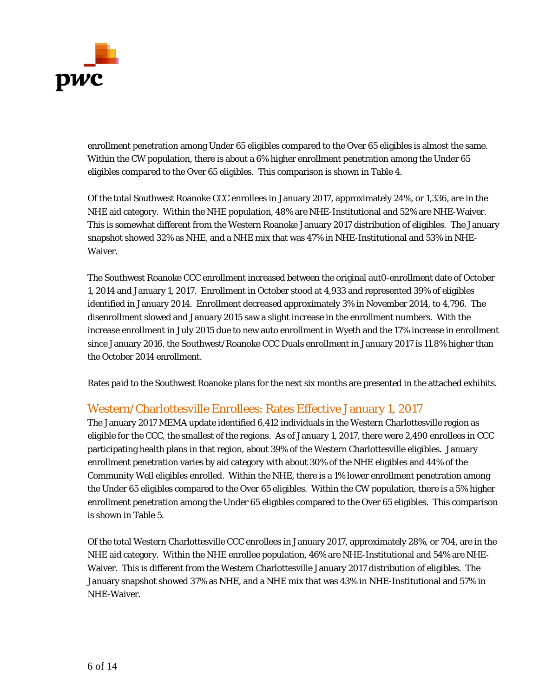

enrollment penetration among Under 65 eligibles compared to the Over 65 eligibles is almost the same. Within the CW population, there is about a 6% higher enrollment penetration among the Under 65 eligibles compared to the Over 65 eligibles. This comparison is shown in Table 4.

Of the total Southwest Roanoke CCC enrollees in January 2017, approximately 24%, or 1,336, are in the NHE aid category. Within the NHE population, 48% are NHE-Institutional and 52% are NHE-Waiver. This is somewhat different from the Western Roanoke January 2017 distribution of eligibles. The January snapshot showed 32% as NHE, and a NHE mix that was 47% in NHE-Institutional and 53% in NHE-Waiver.

The Southwest Roanoke CCC enrollment increased between the original aut0-enrollment date of October 1, 2014 and January 1, 2017. Enrollment in October stood at 4,933 and represented 39% of eligibles identified in January 2014. Enrollment decreased approximately 3% in November 2014, to 4,796. The disenrollment slowed and January 2015 saw a slight increase in the enrollment numbers. With the increase enrollment in July 2015 due to new auto enrollment in Wyeth and the 17% increase in enrollment since January 2016, the Southwest/Roanoke CCC Duals enrollment in January 2017 is 11.8% higher than the October 2014 enrollment.

Rates paid to the Southwest Roanoke plans for the next six months are presented in the attached exhibits.

### Western/Charlottesville Enrollees: Rates Effective January 1, 2017

The January 2017 MEMA update identified 6,412 individuals in the Western Charlottesville region as eligible for the CCC, the smallest of the regions. As of January 1, 2017, there were 2,490 enrollees in CCC participating health plans in that region, about 39% of the Western Charlottesville eligibles. January enrollment penetration varies by aid category with about 30% of the NHE eligibles and 44% of the Community Well eligibles enrolled. Within the NHE, there is a 1% lower enrollment penetration among the Under 65 eligibles compared to the Over 65 eligibles. Within the CW population, there is a 5% higher enrollment penetration among the Under 65 eligibles compared to the Over 65 eligibles. This comparison is shown in Table 5.

Of the total Western Charlottesville CCC enrollees in January 2017, approximately 28%, or 704, are in the NHE aid category. Within the NHE enrollee population, 46% are NHE-Institutional and 54% are NHE-Waiver. This is different from the Western Charlottesville January 2017 distribution of eligibles. The January snapshot showed 37% as NHE, and a NHE mix that was 43% in NHE-Institutional and 57% in NHE-Waiver.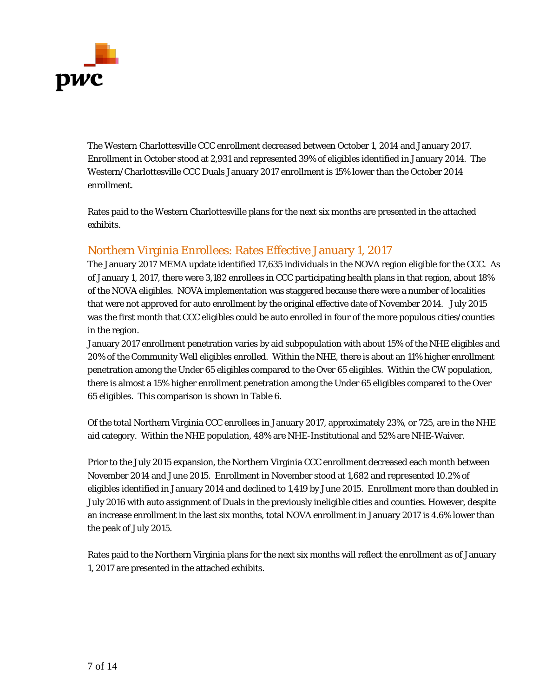

The Western Charlottesville CCC enrollment decreased between October 1, 2014 and January 2017. Enrollment in October stood at 2,931 and represented 39% of eligibles identified in January 2014. The Western/Charlottesville CCC Duals January 2017 enrollment is 15% lower than the October 2014 enrollment.

Rates paid to the Western Charlottesville plans for the next six months are presented in the attached exhibits.

### Northern Virginia Enrollees: Rates Effective January 1, 2017

The January 2017 MEMA update identified 17,635 individuals in the NOVA region eligible for the CCC. As of January 1, 2017, there were 3,182 enrollees in CCC participating health plans in that region, about 18% of the NOVA eligibles. NOVA implementation was staggered because there were a number of localities that were not approved for auto enrollment by the original effective date of November 2014. July 2015 was the first month that CCC eligibles could be auto enrolled in four of the more populous cities/counties in the region.

January 2017 enrollment penetration varies by aid subpopulation with about 15% of the NHE eligibles and 20% of the Community Well eligibles enrolled. Within the NHE, there is about an 11% higher enrollment penetration among the Under 65 eligibles compared to the Over 65 eligibles. Within the CW population, there is almost a 15% higher enrollment penetration among the Under 65 eligibles compared to the Over 65 eligibles. This comparison is shown in Table 6.

Of the total Northern Virginia CCC enrollees in January 2017, approximately 23%, or 725, are in the NHE aid category. Within the NHE population, 48% are NHE-Institutional and 52% are NHE-Waiver.

Prior to the July 2015 expansion, the Northern Virginia CCC enrollment decreased each month between November 2014 and June 2015. Enrollment in November stood at 1,682 and represented 10.2% of eligibles identified in January 2014 and declined to 1,419 by June 2015. Enrollment more than doubled in July 2016 with auto assignment of Duals in the previously ineligible cities and counties. However, despite an increase enrollment in the last six months, total NOVA enrollment in January 2017 is 4.6% lower than the peak of July 2015.

Rates paid to the Northern Virginia plans for the next six months will reflect the enrollment as of January 1, 2017 are presented in the attached exhibits.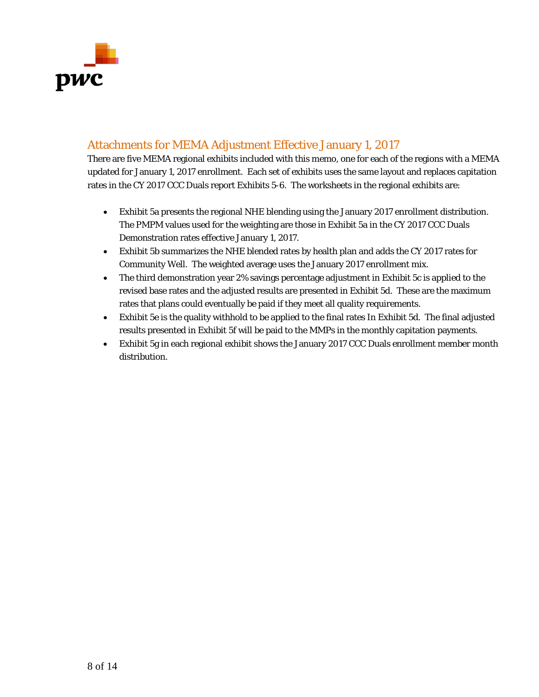

## Attachments for MEMA Adjustment Effective January 1, 2017

There are five MEMA regional exhibits included with this memo, one for each of the regions with a MEMA updated for January 1, 2017 enrollment. Each set of exhibits uses the same layout and replaces capitation rates in the CY 2017 CCC Duals report Exhibits 5-6. The worksheets in the regional exhibits are:

- Exhibit 5a presents the regional NHE blending using the January 2017 enrollment distribution. The PMPM values used for the weighting are those in Exhibit 5a in the CY 2017 CCC Duals Demonstration rates effective January 1, 2017.
- Exhibit 5b summarizes the NHE blended rates by health plan and adds the CY 2017 rates for Community Well. The weighted average uses the January 2017 enrollment mix.
- The third demonstration year 2% savings percentage adjustment in Exhibit 5c is applied to the revised base rates and the adjusted results are presented in Exhibit 5d. These are the maximum rates that plans could eventually be paid if they meet all quality requirements.
- Exhibit 5e is the quality withhold to be applied to the final rates In Exhibit 5d. The final adjusted results presented in Exhibit 5f will be paid to the MMPs in the monthly capitation payments.
- Exhibit 5g in each regional exhibit shows the January 2017 CCC Duals enrollment member month distribution.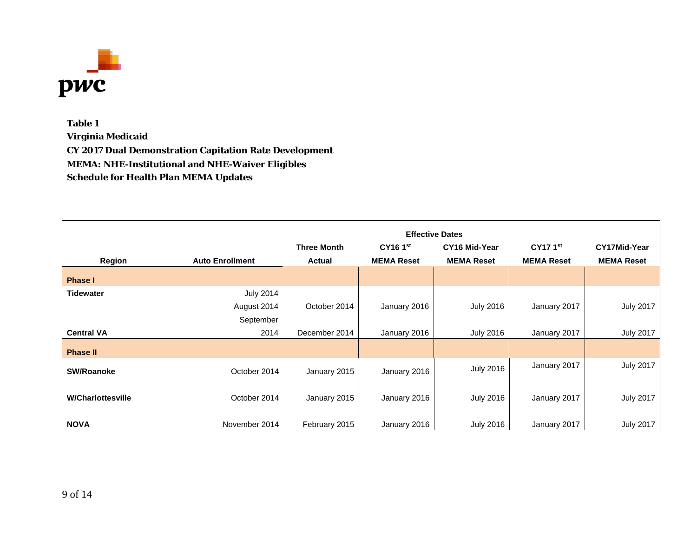

**Table 1 Virginia Medicaid CY 2017 Dual Demonstration Capitation Rate Development MEMA: NHE-Institutional and NHE-Waiver Eligibles Schedule for Health Plan MEMA Updates**

|                          |                        |                    |                   | <b>Effective Dates</b> |                   |                     |
|--------------------------|------------------------|--------------------|-------------------|------------------------|-------------------|---------------------|
|                          |                        | <b>Three Month</b> | <b>CY16 1st</b>   | CY16 Mid-Year          | <b>CY17 1st</b>   | <b>CY17Mid-Year</b> |
| Region                   | <b>Auto Enrollment</b> | <b>Actual</b>      | <b>MEMA Reset</b> | <b>MEMA Reset</b>      | <b>MEMA Reset</b> | <b>MEMA Reset</b>   |
| <b>Phase I</b>           |                        |                    |                   |                        |                   |                     |
| <b>Tidewater</b>         | <b>July 2014</b>       |                    |                   |                        |                   |                     |
|                          | August 2014            | October 2014       | January 2016      | <b>July 2016</b>       | January 2017      | <b>July 2017</b>    |
|                          | September              |                    |                   |                        |                   |                     |
| <b>Central VA</b>        | 2014                   | December 2014      | January 2016      | <b>July 2016</b>       | January 2017      | <b>July 2017</b>    |
| <b>Phase II</b>          |                        |                    |                   |                        |                   |                     |
| <b>SW/Roanoke</b>        | October 2014           | January 2015       | January 2016      | <b>July 2016</b>       | January 2017      | <b>July 2017</b>    |
| <b>W/Charlottesville</b> | October 2014           | January 2015       | January 2016      | <b>July 2016</b>       | January 2017      | <b>July 2017</b>    |
| <b>NOVA</b>              | November 2014          | February 2015      | January 2016      | <b>July 2016</b>       | January 2017      | <b>July 2017</b>    |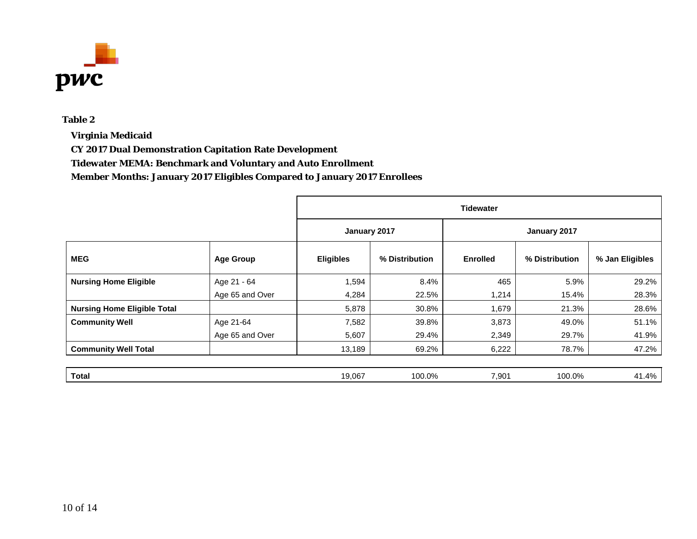

**Virginia Medicaid**

**CY 2017 Dual Demonstration Capitation Rate Development**

**Tidewater MEMA: Benchmark and Voluntary and Auto Enrollment**

|                                    |                  | <b>Tidewater</b> |                |                 |                |                 |  |
|------------------------------------|------------------|------------------|----------------|-----------------|----------------|-----------------|--|
|                                    |                  | January 2017     |                |                 | January 2017   |                 |  |
| <b>MEG</b>                         | <b>Age Group</b> | <b>Eligibles</b> | % Distribution | <b>Enrolled</b> | % Distribution | % Jan Eligibles |  |
| <b>Nursing Home Eligible</b>       | Age 21 - 64      | 1,594            | 8.4%           | 465             | 5.9%           | 29.2%           |  |
|                                    | Age 65 and Over  | 4,284            | 22.5%          | 1,214           | 15.4%          | 28.3%           |  |
| <b>Nursing Home Eligible Total</b> |                  | 5,878            | 30.8%          | 1,679           | 21.3%          | 28.6%           |  |
| <b>Community Well</b>              | Age 21-64        | 7,582            | 39.8%          | 3,873           | 49.0%          | 51.1%           |  |
|                                    | Age 65 and Over  | 5,607            | 29.4%          | 2,349           | 29.7%          | 41.9%           |  |
| <b>Community Well Total</b>        |                  | 13,189           | 69.2%          | 6,222           | 78.7%          | 47.2%           |  |
|                                    |                  |                  |                |                 |                |                 |  |
| <b>Total</b>                       |                  | 19,067           | 100.0%         | 7,901           | 100.0%         | 41.4%           |  |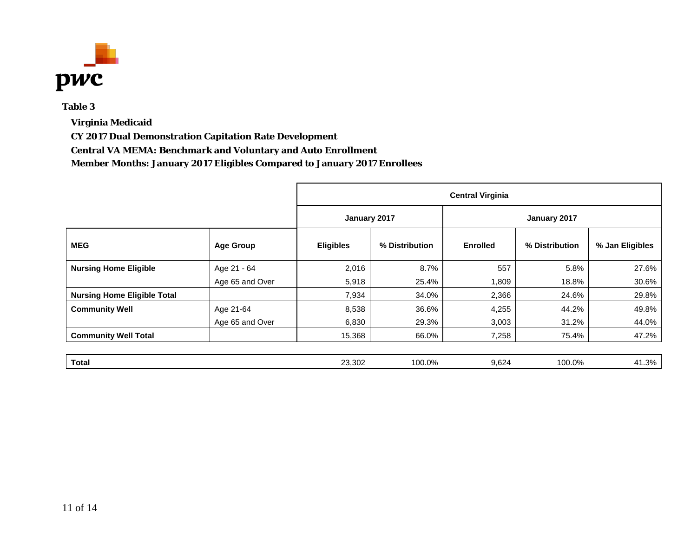

**Virginia Medicaid**

**CY 2017 Dual Demonstration Capitation Rate Development**

**Central VA MEMA: Benchmark and Voluntary and Auto Enrollment**

|                                    |                  | <b>Central Virginia</b> |                |                 |                |                 |  |
|------------------------------------|------------------|-------------------------|----------------|-----------------|----------------|-----------------|--|
|                                    |                  | January 2017            |                | January 2017    |                |                 |  |
| <b>MEG</b>                         | <b>Age Group</b> | <b>Eligibles</b>        | % Distribution | <b>Enrolled</b> | % Distribution | % Jan Eligibles |  |
| <b>Nursing Home Eligible</b>       | Age 21 - 64      | 2,016                   | 8.7%           | 557             | 5.8%           | 27.6%           |  |
|                                    | Age 65 and Over  | 5,918                   | 25.4%          | 1,809           | 18.8%          | 30.6%           |  |
| <b>Nursing Home Eligible Total</b> |                  | 7,934                   | 34.0%          | 2,366           | 24.6%          | 29.8%           |  |
| <b>Community Well</b>              | Age 21-64        | 8,538                   | 36.6%          | 4,255           | 44.2%          | 49.8%           |  |
|                                    | Age 65 and Over  | 6,830                   | 29.3%          | 3,003           | 31.2%          | 44.0%           |  |
| <b>Community Well Total</b>        |                  | 15,368                  | 66.0%          | 7,258           | 75.4%          | 47.2%           |  |
|                                    |                  |                         |                |                 |                |                 |  |
| <b>Total</b>                       |                  | 23,302                  | 100.0%         | 9,624           | 100.0%         | 41.3%           |  |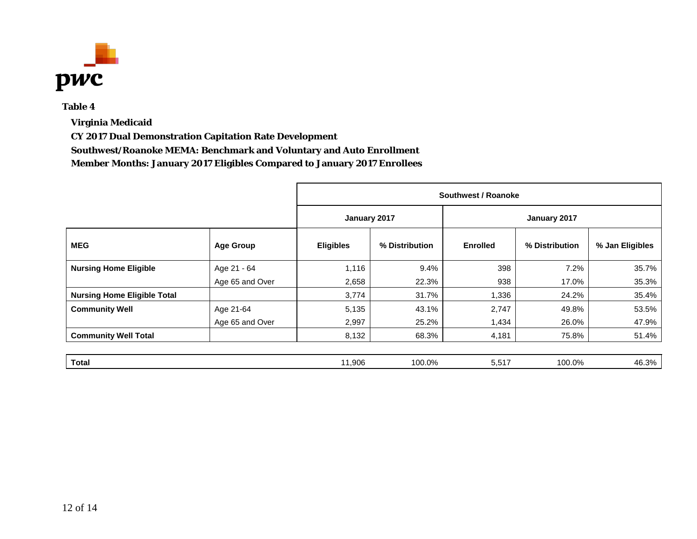

**Virginia Medicaid**

**CY 2017 Dual Demonstration Capitation Rate Development**

**Southwest/Roanoke MEMA: Benchmark and Voluntary and Auto Enrollment**

|                                    |                  | Southwest / Roanoke |                |                 |                |                 |  |
|------------------------------------|------------------|---------------------|----------------|-----------------|----------------|-----------------|--|
|                                    |                  | January 2017        |                | January 2017    |                |                 |  |
| <b>MEG</b>                         | <b>Age Group</b> | <b>Eligibles</b>    | % Distribution | <b>Enrolled</b> | % Distribution | % Jan Eligibles |  |
| <b>Nursing Home Eligible</b>       | Age 21 - 64      | 1,116               | 9.4%           | 398             | 7.2%           | 35.7%           |  |
|                                    | Age 65 and Over  | 2,658               | 22.3%          | 938             | 17.0%          | 35.3%           |  |
| <b>Nursing Home Eligible Total</b> |                  | 3,774               | 31.7%          | 1,336           | 24.2%          | 35.4%           |  |
| <b>Community Well</b>              | Age 21-64        | 5,135               | 43.1%          | 2,747           | 49.8%          | 53.5%           |  |
|                                    | Age 65 and Over  | 2,997               | 25.2%          | 1,434           | 26.0%          | 47.9%           |  |
| <b>Community Well Total</b>        |                  | 8,132               | 68.3%          | 4,181           | 75.8%          | 51.4%           |  |
|                                    |                  |                     |                |                 |                |                 |  |
| <b>Total</b>                       |                  | 11,906              | 100.0%         | 5,517           | 100.0%         | 46.3%           |  |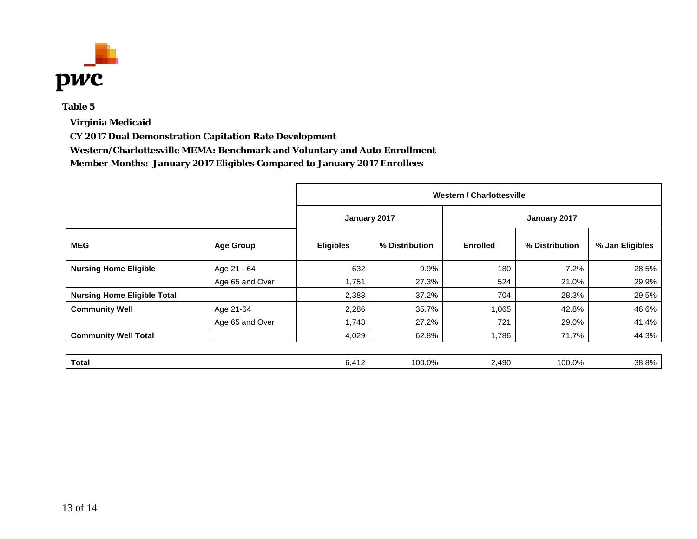

**Virginia Medicaid**

**CY 2017 Dual Demonstration Capitation Rate Development**

**Western/Charlottesville MEMA: Benchmark and Voluntary and Auto Enrollment**

|                                    |                  |                  | Western / Charlottesville |                 |                |                 |  |  |
|------------------------------------|------------------|------------------|---------------------------|-----------------|----------------|-----------------|--|--|
|                                    |                  | January 2017     |                           |                 | January 2017   |                 |  |  |
| <b>MEG</b>                         | <b>Age Group</b> | <b>Eligibles</b> | % Distribution            | <b>Enrolled</b> | % Distribution | % Jan Eligibles |  |  |
| <b>Nursing Home Eligible</b>       | Age 21 - 64      | 632              | 9.9%                      | 180             | 7.2%           | 28.5%           |  |  |
|                                    | Age 65 and Over  | 1,751            | 27.3%                     | 524             | 21.0%          | 29.9%           |  |  |
| <b>Nursing Home Eligible Total</b> |                  | 2,383            | 37.2%                     | 704             | 28.3%          | 29.5%           |  |  |
| <b>Community Well</b>              | Age 21-64        | 2,286            | 35.7%                     | 1,065           | 42.8%          | 46.6%           |  |  |
|                                    | Age 65 and Over  | 1,743            | 27.2%                     | 721             | 29.0%          | 41.4%           |  |  |
| <b>Community Well Total</b>        |                  | 4,029            | 62.8%                     | 1,786           | 71.7%          | 44.3%           |  |  |
|                                    |                  |                  |                           |                 |                |                 |  |  |
| <b>Total</b>                       |                  | 6,412            | 100.0%                    | 2,490           | 100.0%         | 38.8%           |  |  |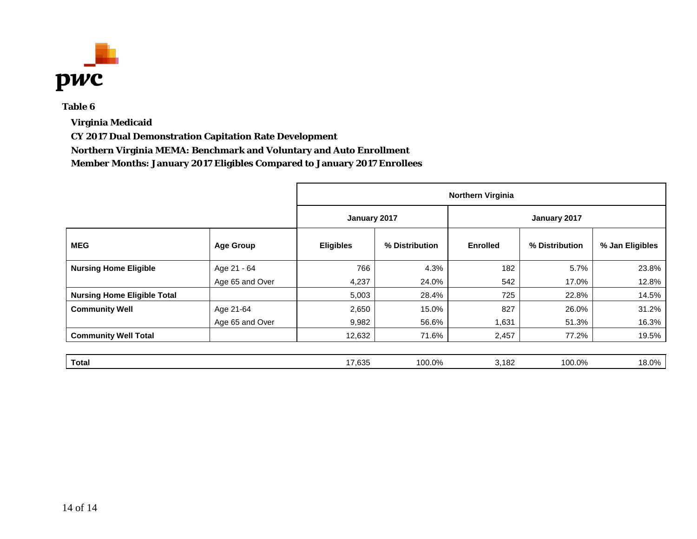

**Virginia Medicaid**

**CY 2017 Dual Demonstration Capitation Rate Development**

**Northern Virginia MEMA: Benchmark and Voluntary and Auto Enrollment**

|                                    |                  |                  | <b>Northern Virginia</b> |                 |                |                 |  |  |
|------------------------------------|------------------|------------------|--------------------------|-----------------|----------------|-----------------|--|--|
|                                    |                  | January 2017     |                          |                 |                |                 |  |  |
| <b>MEG</b>                         | <b>Age Group</b> | <b>Eligibles</b> | % Distribution           | <b>Enrolled</b> | % Distribution | % Jan Eligibles |  |  |
| <b>Nursing Home Eligible</b>       | Age 21 - 64      | 766              | 4.3%                     | 182             | 5.7%           | 23.8%           |  |  |
|                                    | Age 65 and Over  | 4,237            | 24.0%                    | 542             | 17.0%          | 12.8%           |  |  |
| <b>Nursing Home Eligible Total</b> |                  | 5,003            | 28.4%                    | 725             | 22.8%          | 14.5%           |  |  |
| <b>Community Well</b>              | Age 21-64        | 2,650            | 15.0%                    | 827             | 26.0%          | 31.2%           |  |  |
|                                    | Age 65 and Over  | 9,982            | 56.6%                    | 1,631           | 51.3%          | 16.3%           |  |  |
| <b>Community Well Total</b>        |                  | 12,632           | 71.6%                    | 2,457           | 77.2%          | 19.5%           |  |  |
| <b>Total</b>                       |                  | 17,635           | 100.0%                   | 3,182           | 100.0%         | 18.0%           |  |  |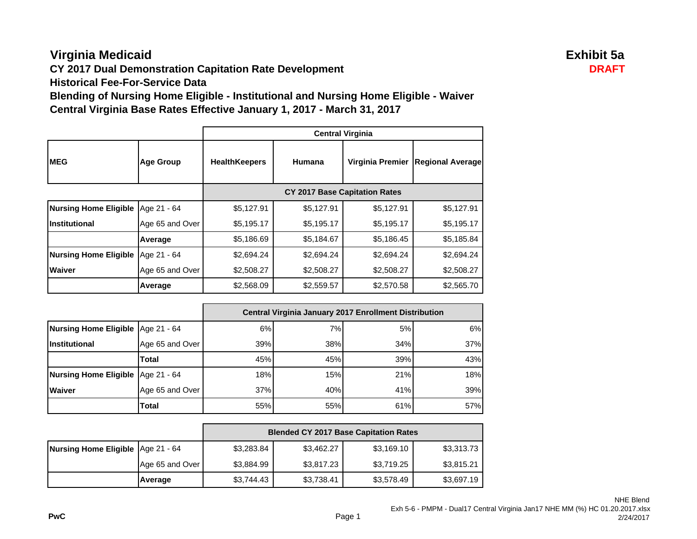# **Virginia Medicaid Exhibit 5a**

**CY 2017 Dual Demonstration Capitation Rate Development DRAFT** 

**Historical Fee-For-Service Data**

**Blending of Nursing Home Eligible - Institutional and Nursing Home Eligible - Waiver Central Virginia Base Rates Effective January 1, 2017 - March 31, 2017**

|                              |                  | <b>Central Virginia</b> |                                      |                  |                         |  |
|------------------------------|------------------|-------------------------|--------------------------------------|------------------|-------------------------|--|
| <b>MEG</b>                   | <b>Age Group</b> | <b>HealthKeepers</b>    | Humana                               | Virginia Premier | <b>Regional Average</b> |  |
|                              |                  |                         | <b>CY 2017 Base Capitation Rates</b> |                  |                         |  |
| <b>Nursing Home Eligible</b> | Age 21 - 64      | \$5,127.91              | \$5,127.91                           | \$5,127.91       | \$5,127.91              |  |
| <b>Institutional</b>         | Age 65 and Over  | \$5,195.17              | \$5,195.17                           | \$5,195.17       | \$5,195.17              |  |
|                              | Average          | \$5,186.69              | \$5,184.67                           | \$5,186.45       | \$5,185.84              |  |
| <b>Nursing Home Eligible</b> | Age 21 - 64      | \$2,694.24              | \$2,694.24                           | \$2,694.24       | \$2,694.24              |  |
| <b>Waiver</b>                | Age 65 and Over  | \$2,508.27              | \$2,508.27                           | \$2,508.27       | \$2,508.27              |  |
|                              | Average          | \$2,568.09              | \$2,559.57                           | \$2,570.58       | \$2,565.70              |  |

|                                     |                 | <b>Central Virginia January 2017 Enrollment Distribution</b> |     |     |     |  |  |
|-------------------------------------|-----------------|--------------------------------------------------------------|-----|-----|-----|--|--|
| Nursing Home Eligible   Age 21 - 64 |                 | 6%                                                           | 7%  | 5%  | 6%  |  |  |
| Institutional                       | Age 65 and Over | 39%                                                          | 38% | 34% | 37% |  |  |
|                                     | Total           | 45%                                                          | 45% | 39% | 43% |  |  |
| Nursing Home Eligible   Age 21 - 64 |                 | 18%                                                          | 15% | 21% | 18% |  |  |
| <b>Waiver</b>                       | Age 65 and Over | 37%                                                          | 40% | 41% | 39% |  |  |
|                                     | Total           | 55%                                                          | 55% | 61% | 57% |  |  |

|                                     |                 | <b>Blended CY 2017 Base Capitation Rates</b> |            |            |            |  |  |
|-------------------------------------|-----------------|----------------------------------------------|------------|------------|------------|--|--|
| Nursing Home Eligible   Age 21 - 64 |                 | \$3,283.84                                   | \$3,462.27 | \$3,169.10 | \$3,313.73 |  |  |
|                                     | Age 65 and Over | \$3,884.99                                   | \$3,817.23 | \$3,719.25 | \$3,815.21 |  |  |
|                                     | Average         | \$3,744.43                                   | \$3,738.41 | \$3,578.49 | \$3,697.19 |  |  |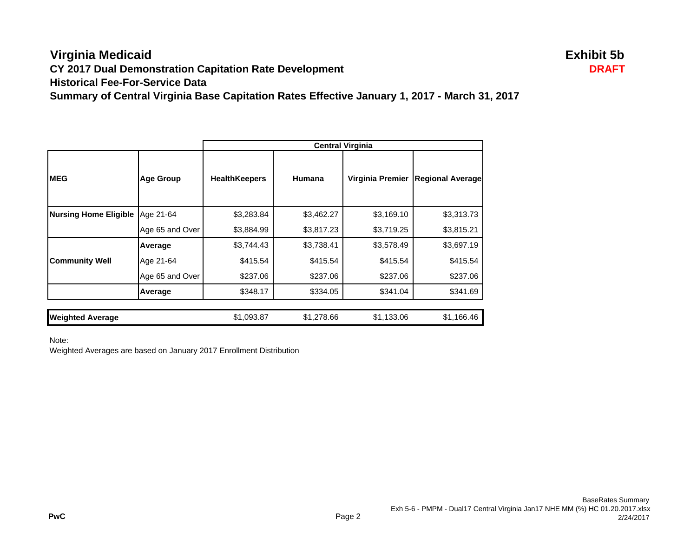## **Virginia Medicaid Exhibit 5b CY 2017 Dual Demonstration Capitation Rate Development DRAFT Historical Fee-For-Service DataSummary of Central Virginia Base Capitation Rates Effective January 1, 2017 - March 31, 2017**

|                              |                  | <b>Central Virginia</b> |            |                  |                         |  |
|------------------------------|------------------|-------------------------|------------|------------------|-------------------------|--|
| <b>MEG</b>                   | <b>Age Group</b> | <b>HealthKeepers</b>    | Humana     | Virginia Premier | <b>Regional Average</b> |  |
| <b>Nursing Home Eligible</b> | Age 21-64        | \$3,283.84              | \$3,462.27 | \$3,169.10       | \$3,313.73              |  |
|                              | Age 65 and Over  | \$3,884.99              | \$3,817.23 | \$3,719.25       | \$3,815.21              |  |
|                              | Average          | \$3,744.43              | \$3,738.41 | \$3,578.49       | \$3,697.19              |  |
| <b>Community Well</b>        | Age 21-64        | \$415.54                | \$415.54   | \$415.54         | \$415.54                |  |
|                              | Age 65 and Over  | \$237.06                | \$237.06   | \$237.06         | \$237.06                |  |
|                              | Average          | \$348.17                | \$334.05   | \$341.04         | \$341.69                |  |
| <b>Weighted Average</b>      |                  | \$1,093.87              | \$1,278.66 | \$1,133.06       | \$1,166.46              |  |

Note:

Weighted Averages are based on January 2017 Enrollment Distribution

**PwC**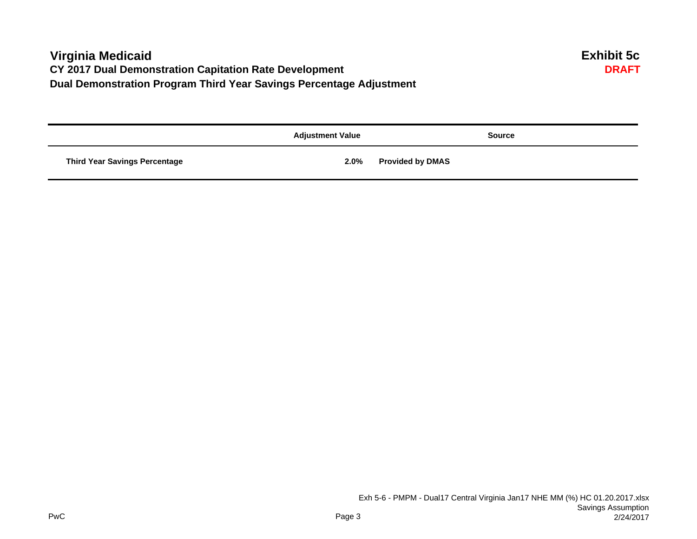# **Virginia Medicaid Exhibit 5c CY 2017 Dual Demonstration Capitation Rate Development Dual Demonstration Program Third Year Savings Percentage Adjustment**

|                                      | <b>Adjustment Value</b> | <b>Source</b>           |
|--------------------------------------|-------------------------|-------------------------|
| <b>Third Year Savings Percentage</b> | 2.0%                    | <b>Provided by DMAS</b> |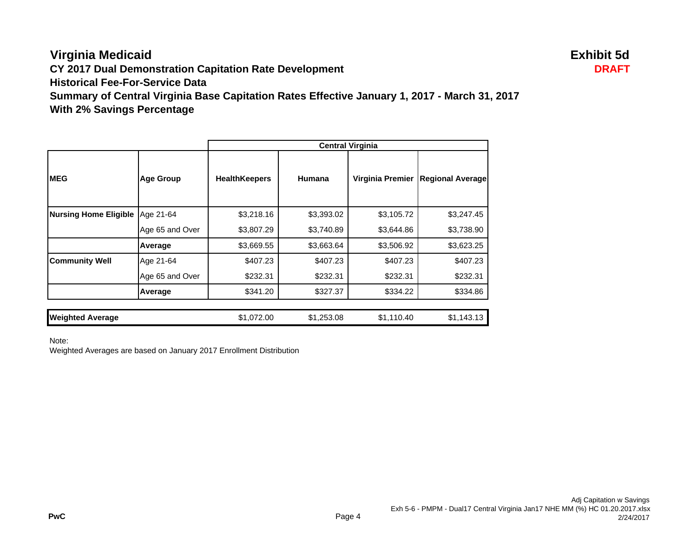# **Virginia Medicaid Exhibit 5d**

**CY 2017 Dual Demonstration Capitation Rate Development DRAFT**

**Historical Fee-For-Service Data**

**Summary of Central Virginia Base Capitation Rates Effective January 1, 2017 - March 31, 2017 With 2% Savings Percentage**

|                              |                  | <b>Central Virginia</b> |            |                  |                         |
|------------------------------|------------------|-------------------------|------------|------------------|-------------------------|
| <b>MEG</b>                   | <b>Age Group</b> | <b>HealthKeepers</b>    | Humana     | Virginia Premier | <b>Regional Average</b> |
| <b>Nursing Home Eligible</b> | Age 21-64        | \$3,218.16              | \$3,393.02 | \$3,105.72       | \$3,247.45              |
|                              | Age 65 and Over  | \$3,807.29              | \$3,740.89 | \$3,644.86       | \$3,738.90              |
|                              | Average          | \$3,669.55              | \$3,663.64 | \$3,506.92       | \$3,623.25              |
| <b>Community Well</b>        | Age 21-64        | \$407.23                | \$407.23   | \$407.23         | \$407.23                |
|                              | Age 65 and Over  | \$232.31                | \$232.31   | \$232.31         | \$232.31                |
|                              | Average          | \$341.20                | \$327.37   | \$334.22         | \$334.86                |
| <b>Weighted Average</b>      |                  | \$1,072.00              | \$1,253.08 | \$1,110.40       | \$1,143.13              |

Note:

Weighted Averages are based on January 2017 Enrollment Distribution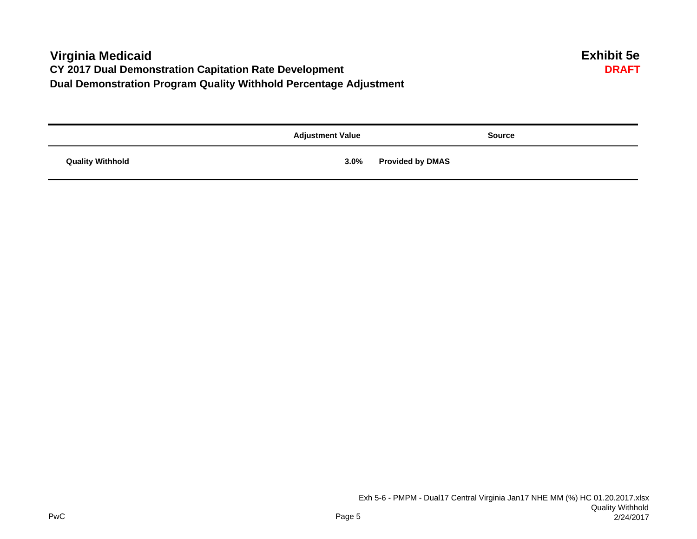# **Virginia Medicaid Exhibit 5e CY 2017 Dual Demonstration Capitation Rate Development Dual Demonstration Program Quality Withhold Percentage Adjustment**

|                         | <b>Adjustment Value</b> | <b>Source</b>           |
|-------------------------|-------------------------|-------------------------|
| <b>Quality Withhold</b> | 3.0%                    | <b>Provided by DMAS</b> |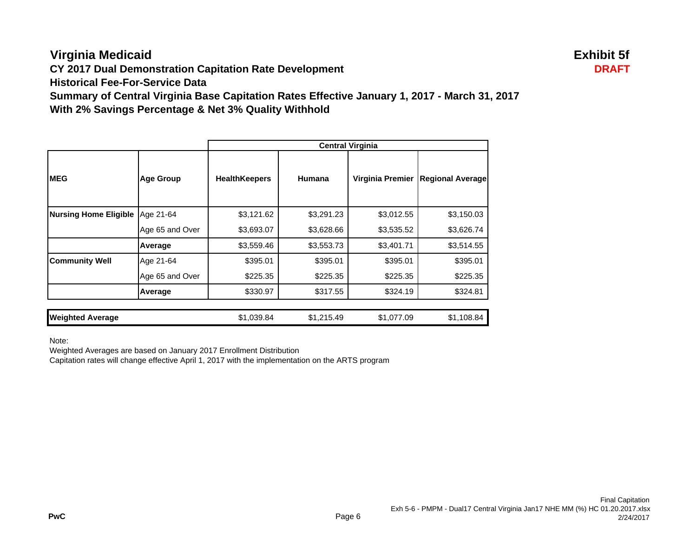# **Virginia Medicaid Exhibit 5f**

**CY 2017 Dual Demonstration Capitation Rate Development DRAFT**

**Historical Fee-For-Service Data**

**Summary of Central Virginia Base Capitation Rates Effective January 1, 2017 - March 31, 2017 With 2% Savings Percentage & Net 3% Quality Withhold**

|                              |                  | <b>Central Virginia</b> |            |                  |                         |
|------------------------------|------------------|-------------------------|------------|------------------|-------------------------|
| <b>IMEG</b>                  | <b>Age Group</b> | <b>HealthKeepers</b>    | Humana     | Virginia Premier | <b>Regional Average</b> |
| <b>Nursing Home Eligible</b> | Age 21-64        | \$3,121.62              | \$3,291.23 | \$3,012.55       | \$3,150.03              |
|                              | Age 65 and Over  | \$3,693.07              | \$3,628.66 | \$3,535.52       | \$3,626.74              |
|                              | Average          | \$3,559.46              | \$3,553.73 | \$3,401.71       | \$3,514.55              |
| <b>Community Well</b>        | Age 21-64        | \$395.01                | \$395.01   | \$395.01         | \$395.01                |
|                              | Age 65 and Over  | \$225.35                | \$225.35   | \$225.35         | \$225.35                |
|                              | Average          | \$330.97                | \$317.55   | \$324.19         | \$324.81                |
| <b>Weighted Average</b>      |                  | \$1,039.84              | \$1,215.49 | \$1,077.09       | \$1,108.84              |

Note:

Weighted Averages are based on January 2017 Enrollment Distribution

Capitation rates will change effective April 1, 2017 with the implementation on the ARTS program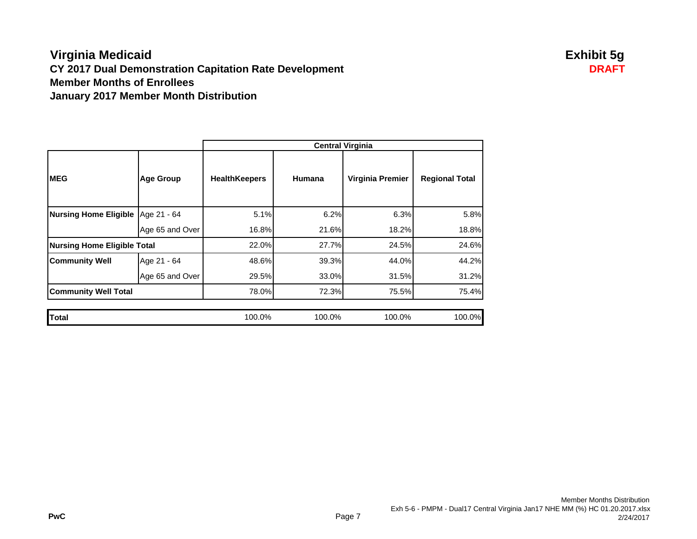## **Virginia Medicaid Exhibit 5g CY 2017 Dual Demonstration Capitation Rate Development DRAFT Member Months of EnrolleesJanuary 2017 Member Month Distribution**

|                                     |                  | <b>Central Virginia</b> |        |                  |                       |  |
|-------------------------------------|------------------|-------------------------|--------|------------------|-----------------------|--|
| <b>MEG</b>                          | <b>Age Group</b> | <b>HealthKeepers</b>    | Humana | Virginia Premier | <b>Regional Total</b> |  |
| Nursing Home Eligible   Age 21 - 64 |                  | 5.1%                    | 6.2%   | 6.3%             | 5.8%                  |  |
|                                     | Age 65 and Over  | 16.8%                   | 21.6%  | 18.2%            | 18.8%                 |  |
| <b>Nursing Home Eligible Total</b>  |                  | 22.0%                   | 27.7%  | 24.5%            | 24.6%                 |  |
| <b>Community Well</b>               | Age 21 - 64      | 48.6%                   | 39.3%  | 44.0%            | 44.2%                 |  |
|                                     | Age 65 and Over  | 29.5%                   | 33.0%  | 31.5%            | 31.2%                 |  |
| <b>Community Well Total</b>         |                  | 78.0%                   | 72.3%  | 75.5%            | 75.4%                 |  |
|                                     |                  |                         |        |                  |                       |  |
| Total                               |                  | 100.0%                  | 100.0% | 100.0%           | 100.0%                |  |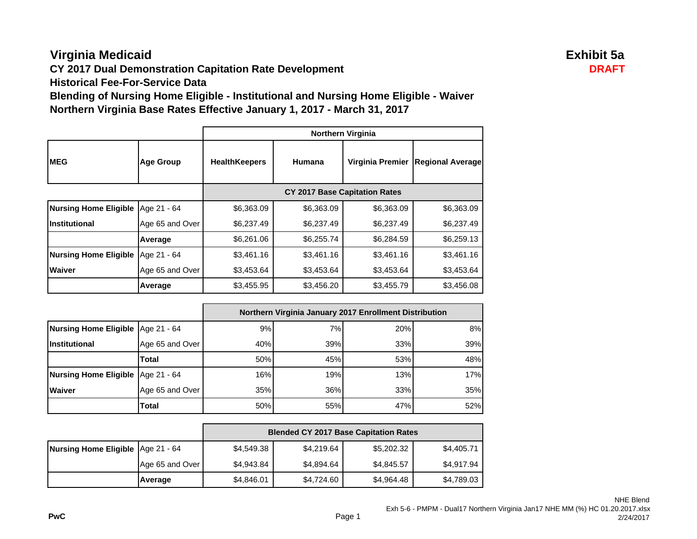# **Virginia Medicaid Exhibit 5a**

**CY 2017 Dual Demonstration Capitation Rate Development DRAFT** 

**Historical Fee-For-Service Data**

**Blending of Nursing Home Eligible - Institutional and Nursing Home Eligible - Waiver Northern Virginia Base Rates Effective January 1, 2017 - March 31, 2017**

|                              |                  | <b>Northern Virginia</b>             |            |                  |                         |
|------------------------------|------------------|--------------------------------------|------------|------------------|-------------------------|
| <b>MEG</b>                   | <b>Age Group</b> | <b>HealthKeepers</b>                 | Humana     | Virginia Premier | <b>Regional Average</b> |
|                              |                  | <b>CY 2017 Base Capitation Rates</b> |            |                  |                         |
| <b>Nursing Home Eligible</b> | Age 21 - 64      | \$6,363.09                           | \$6,363.09 | \$6,363.09       | \$6,363.09              |
| Institutional                | Age 65 and Over  | \$6,237.49                           | \$6,237.49 | \$6,237.49       | \$6,237.49              |
|                              | Average          | \$6,261.06                           | \$6,255.74 | \$6,284.59       | \$6,259.13              |
| <b>Nursing Home Eligible</b> | Age 21 - 64      | \$3,461.16                           | \$3,461.16 | \$3,461.16       | \$3,461.16              |
| <b>Waiver</b>                | Age 65 and Over  | \$3,453.64                           | \$3,453.64 | \$3,453.64       | \$3,453.64              |
|                              | Average          | \$3,455.95                           | \$3,456.20 | \$3,455.79       | \$3,456.08              |

|                                     |                 | Northern Virginia January 2017 Enrollment Distribution |     |     |     |
|-------------------------------------|-----------------|--------------------------------------------------------|-----|-----|-----|
| Nursing Home Eligible Age 21 - 64   |                 | 9%                                                     | 7%  | 20% | 8%  |
| <b>Institutional</b>                | Age 65 and Over | 40%                                                    | 39% | 33% | 39% |
|                                     | Total           | 50%                                                    | 45% | 53% | 48% |
| Nursing Home Eligible   Age 21 - 64 |                 | 16%                                                    | 19% | 13% | 17% |
| <b>Waiver</b>                       | Age 65 and Over | 35%                                                    | 36% | 33% | 35% |
|                                     | Total           | 50%                                                    | 55% | 47% | 52% |

|                                   |                 | <b>Blended CY 2017 Base Capitation Rates</b> |            |            |            |
|-----------------------------------|-----------------|----------------------------------------------|------------|------------|------------|
| Nursing Home Eligible Age 21 - 64 |                 | \$4,549.38                                   | \$4,219.64 | \$5,202.32 | \$4,405.71 |
|                                   | Age 65 and Over | \$4,943.84                                   | \$4,894.64 | \$4,845.57 | \$4,917.94 |
|                                   | Average         | \$4,846.01                                   | \$4,724.60 | \$4,964.48 | \$4,789.03 |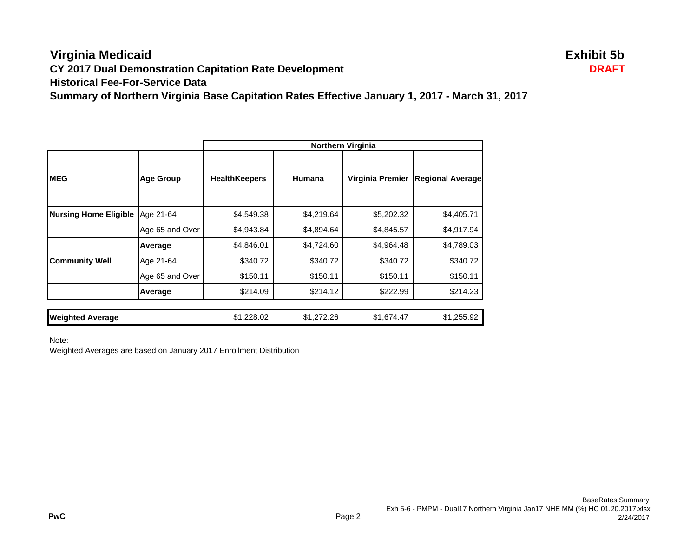## **Virginia Medicaid Exhibit 5b CY 2017 Dual Demonstration Capitation Rate Development DRAFT Historical Fee-For-Service DataSummary of Northern Virginia Base Capitation Rates Effective January 1, 2017 - March 31, 2017**

|                              |                  | <b>Northern Virginia</b> |            |                  |                         |
|------------------------------|------------------|--------------------------|------------|------------------|-------------------------|
| <b>MEG</b>                   | <b>Age Group</b> | <b>HealthKeepers</b>     | Humana     | Virginia Premier | <b>Regional Average</b> |
| <b>Nursing Home Eligible</b> | Age 21-64        | \$4,549.38               | \$4,219.64 | \$5,202.32       | \$4,405.71              |
|                              | Age 65 and Over  | \$4,943.84               | \$4,894.64 | \$4,845.57       | \$4,917.94              |
|                              | Average          | \$4,846.01               | \$4,724.60 | \$4,964.48       | \$4,789.03              |
| <b>Community Well</b>        | Age 21-64        | \$340.72                 | \$340.72   | \$340.72         | \$340.72                |
|                              | Age 65 and Over  | \$150.11                 | \$150.11   | \$150.11         | \$150.11                |
|                              | Average          | \$214.09                 | \$214.12   | \$222.99         | \$214.23                |
|                              |                  |                          |            |                  |                         |
| <b>Weighted Average</b>      |                  | \$1,228.02               | \$1,272.26 | \$1,674.47       | \$1,255.92              |

Note:

Weighted Averages are based on January 2017 Enrollment Distribution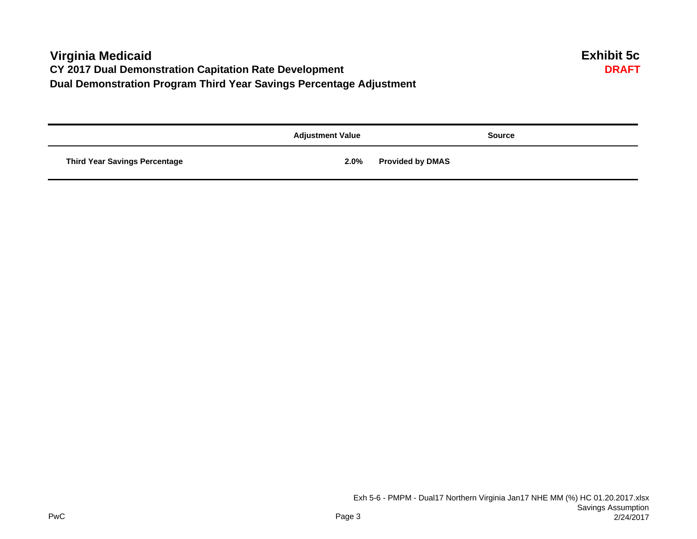# **Virginia Medicaid Exhibit 5c CY 2017 Dual Demonstration Capitation Rate Development Dual Demonstration Program Third Year Savings Percentage Adjustment**

|                                      | <b>Adjustment Value</b> | <b>Source</b>           |
|--------------------------------------|-------------------------|-------------------------|
| <b>Third Year Savings Percentage</b> | 2.0%                    | <b>Provided by DMAS</b> |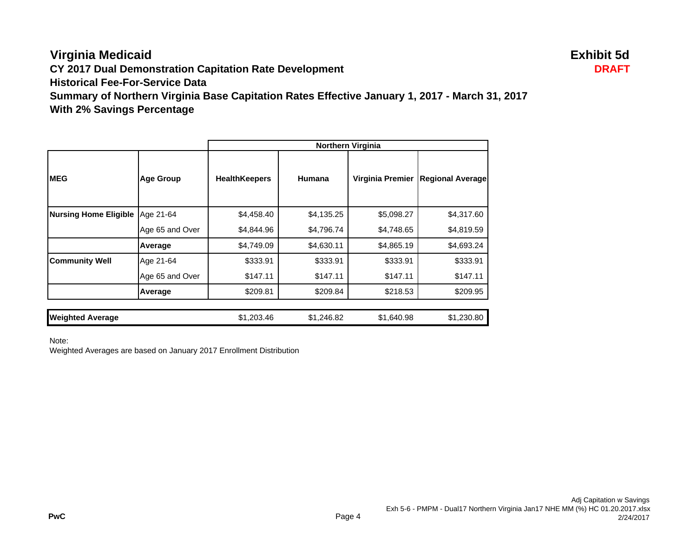# **Virginia Medicaid Exhibit 5d**

**CY 2017 Dual Demonstration Capitation Rate Development DRAFT**

**Historical Fee-For-Service Data**

**Summary of Northern Virginia Base Capitation Rates Effective January 1, 2017 - March 31, 2017 With 2% Savings Percentage**

|                              |                  | <b>Northern Virginia</b> |            |                  |                         |
|------------------------------|------------------|--------------------------|------------|------------------|-------------------------|
| <b>IMEG</b>                  | <b>Age Group</b> | <b>HealthKeepers</b>     | Humana     | Virginia Premier | <b>Regional Average</b> |
| <b>Nursing Home Eligible</b> | Age 21-64        | \$4,458.40               | \$4,135.25 | \$5,098.27       | \$4,317.60              |
|                              | Age 65 and Over  | \$4,844.96               | \$4,796.74 | \$4,748.65       | \$4,819.59              |
|                              | Average          | \$4,749.09               | \$4,630.11 | \$4,865.19       | \$4,693.24              |
| <b>Community Well</b>        | Age 21-64        | \$333.91                 | \$333.91   | \$333.91         | \$333.91                |
|                              | Age 65 and Over  | \$147.11                 | \$147.11   | \$147.11         | \$147.11                |
|                              | Average          | \$209.81                 | \$209.84   | \$218.53         | \$209.95                |
| <b>Weighted Average</b>      |                  | \$1,203.46               | \$1,246.82 | \$1,640.98       | \$1,230.80              |

Note:

Weighted Averages are based on January 2017 Enrollment Distribution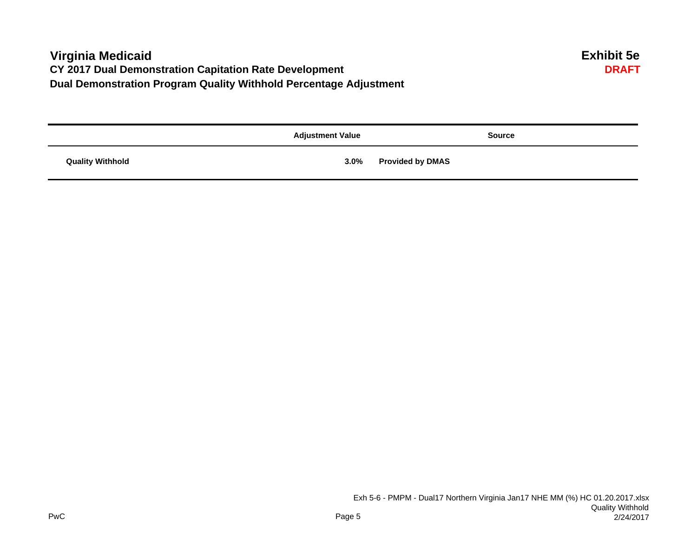# **Virginia Medicaid Exhibit 5e CY 2017 Dual Demonstration Capitation Rate Development Dual Demonstration Program Quality Withhold Percentage Adjustment**

|                         | <b>Adjustment Value</b> | <b>Source</b>           |
|-------------------------|-------------------------|-------------------------|
| <b>Quality Withhold</b> | 3.0%                    | <b>Provided by DMAS</b> |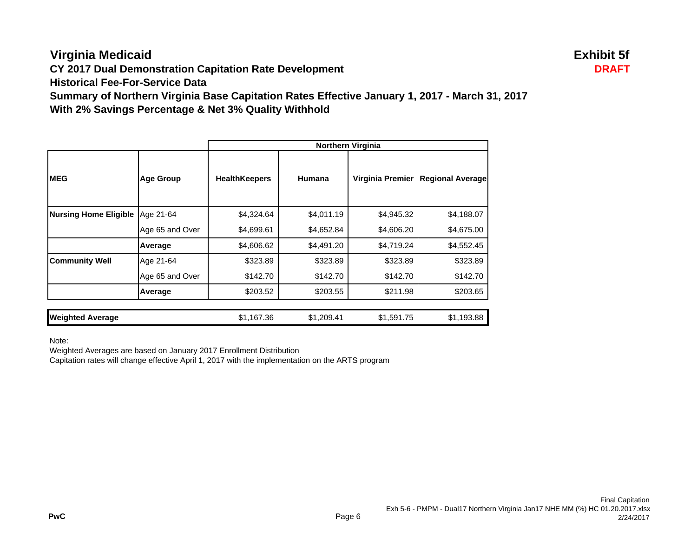# **Virginia Medicaid Exhibit 5f**

**CY 2017 Dual Demonstration Capitation Rate Development DRAFT**

**Historical Fee-For-Service Data**

**Summary of Northern Virginia Base Capitation Rates Effective January 1, 2017 - March 31, 2017 With 2% Savings Percentage & Net 3% Quality Withhold**

|                              |                  | <b>Northern Virginia</b> |            |                  |                         |
|------------------------------|------------------|--------------------------|------------|------------------|-------------------------|
| <b>IMEG</b>                  | <b>Age Group</b> | <b>HealthKeepers</b>     | Humana     | Virginia Premier | <b>Regional Average</b> |
| <b>Nursing Home Eligible</b> | Age 21-64        | \$4,324.64               | \$4,011.19 | \$4,945.32       | \$4,188.07              |
|                              | Age 65 and Over  | \$4,699.61               | \$4,652.84 | \$4,606.20       | \$4,675.00              |
|                              | Average          | \$4,606.62               | \$4,491.20 | \$4,719.24       | \$4,552.45              |
| <b>Community Well</b>        | Age 21-64        | \$323.89                 | \$323.89   | \$323.89         | \$323.89                |
|                              | Age 65 and Over  | \$142.70                 | \$142.70   | \$142.70         | \$142.70                |
|                              | Average          | \$203.52                 | \$203.55   | \$211.98         | \$203.65                |
| <b>Weighted Average</b>      |                  | \$1,167.36               | \$1,209.41 | \$1,591.75       | \$1,193.88              |

Note:

Weighted Averages are based on January 2017 Enrollment Distribution

Capitation rates will change effective April 1, 2017 with the implementation on the ARTS program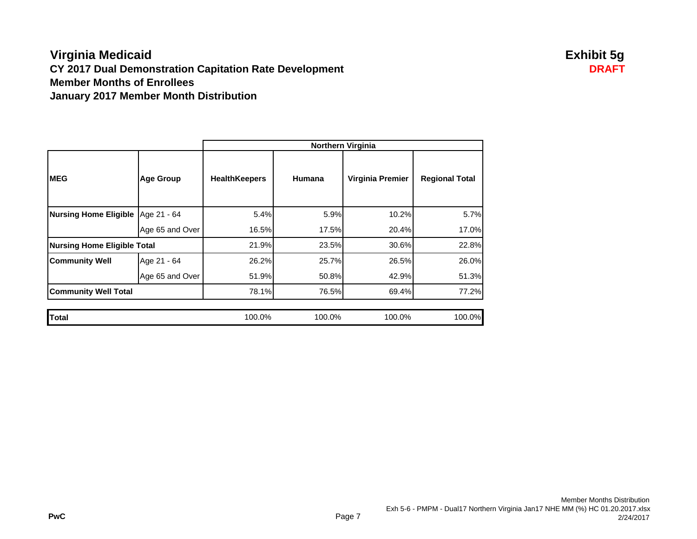## **Virginia Medicaid Exhibit 5g CY 2017 Dual Demonstration Capitation Rate Development DRAFT Member Months of EnrolleesJanuary 2017 Member Month Distribution**

|                                    |                  | <b>Northern Virginia</b> |               |                  |                       |
|------------------------------------|------------------|--------------------------|---------------|------------------|-----------------------|
| <b>MEG</b>                         | <b>Age Group</b> | <b>HealthKeepers</b>     | <b>Humana</b> | Virginia Premier | <b>Regional Total</b> |
| <b>Nursing Home Eligible</b>       | Age 21 - 64      | 5.4%                     | 5.9%          | 10.2%            | 5.7%                  |
|                                    | Age 65 and Over  | 16.5%                    | 17.5%         | 20.4%            | 17.0%                 |
| <b>Nursing Home Eligible Total</b> |                  | 21.9%                    | 23.5%         | 30.6%            | 22.8%                 |
| <b>Community Well</b>              | Age 21 - 64      | 26.2%                    | 25.7%         | 26.5%            | 26.0%                 |
|                                    | Age 65 and Over  | 51.9%                    | 50.8%         | 42.9%            | 51.3%                 |
| <b>Community Well Total</b>        |                  | 78.1%                    | 76.5%         | 69.4%            | 77.2%                 |
|                                    |                  |                          |               |                  |                       |
| Total                              |                  | 100.0%                   | 100.0%        | 100.0%           | 100.0%                |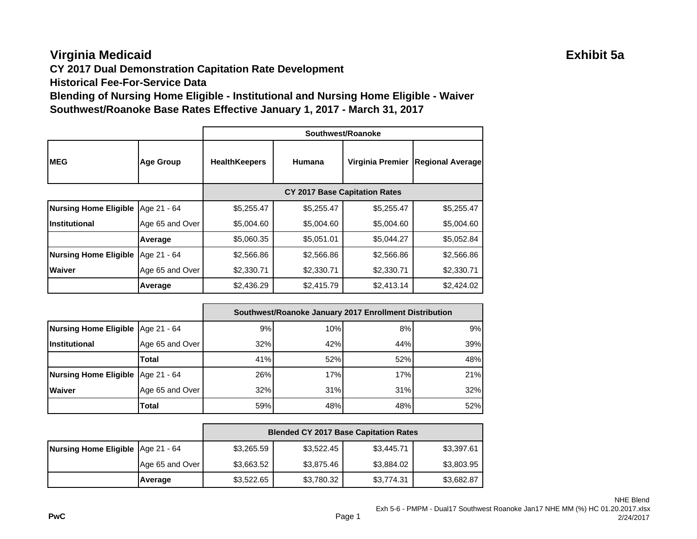# **Virginia Medicaid Exhibit 5a**

**CY 2017 Dual Demonstration Capitation Rate Development**

**Historical Fee-For-Service Data**

**Blending of Nursing Home Eligible - Institutional and Nursing Home Eligible - Waiver Southwest/Roanoke Base Rates Effective January 1, 2017 - March 31, 2017**

|                              |                  | Southwest/Roanoke                    |            |                  |                         |
|------------------------------|------------------|--------------------------------------|------------|------------------|-------------------------|
| <b>IMEG</b>                  | <b>Age Group</b> | <b>HealthKeepers</b>                 | Humana     | Virginia Premier | <b>Regional Average</b> |
|                              |                  | <b>CY 2017 Base Capitation Rates</b> |            |                  |                         |
| <b>Nursing Home Eligible</b> | Age 21 - 64      | \$5,255.47                           | \$5,255.47 | \$5,255.47       | \$5,255.47              |
| Institutional                | Age 65 and Over  | \$5,004.60                           | \$5,004.60 | \$5,004.60       | \$5,004.60              |
|                              | Average          | \$5,060.35                           | \$5,051.01 | \$5,044.27       | \$5,052.84              |
| <b>Nursing Home Eligible</b> | Age 21 - 64      | \$2,566.86                           | \$2,566.86 | \$2,566.86       | \$2,566.86              |
| <b>Waiver</b>                | Age 65 and Over  | \$2,330.71                           | \$2,330.71 | \$2,330.71       | \$2,330.71              |
|                              | Average          | \$2,436.29                           | \$2,415.79 | \$2,413.14       | \$2,424.02              |

|                                     |                 | Southwest/Roanoke January 2017 Enrollment Distribution |     |     |     |
|-------------------------------------|-----------------|--------------------------------------------------------|-----|-----|-----|
| Nursing Home Eligible Age 21 - 64   |                 | 9%                                                     | 10% | 8%  | 9%  |
| <b>Institutional</b>                | Age 65 and Over | 32%                                                    | 42% | 44% | 39% |
|                                     | Total           | 41%                                                    | 52% | 52% | 48% |
| Nursing Home Eligible   Age 21 - 64 |                 | 26%                                                    | 17% | 17% | 21% |
| <b>Waiver</b>                       | Age 65 and Over | 32%                                                    | 31% | 31% | 32% |
|                                     | Total           | 59%                                                    | 48% | 48% | 52% |

|                                     |                 | <b>Blended CY 2017 Base Capitation Rates</b> |            |            |            |
|-------------------------------------|-----------------|----------------------------------------------|------------|------------|------------|
| Nursing Home Eligible   Age 21 - 64 |                 | \$3,265.59                                   | \$3,522.45 | \$3,445.71 | \$3,397.61 |
|                                     | Age 65 and Over | \$3,663.52                                   | \$3,875.46 | \$3,884.02 | \$3,803.95 |
|                                     | Average         | \$3,522.65                                   | \$3,780.32 | \$3,774.31 | \$3,682.87 |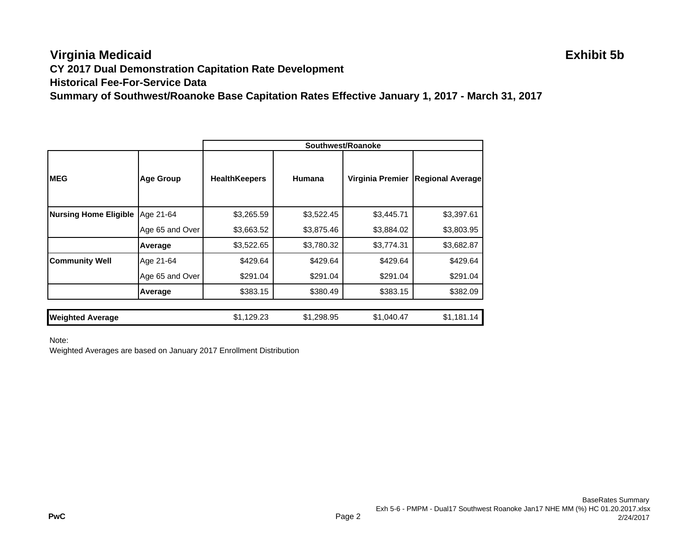## **Virginia Medicaid Exhibit 5b CY 2017 Dual Demonstration Capitation Rate Development Historical Fee-For-Service DataSummary of Southwest/Roanoke Base Capitation Rates Effective January 1, 2017 - March 31, 2017**

|                              |                  | Southwest/Roanoke    |            |                  |                         |
|------------------------------|------------------|----------------------|------------|------------------|-------------------------|
| <b>IMEG</b>                  | <b>Age Group</b> | <b>HealthKeepers</b> | Humana     | Virginia Premier | <b>Regional Average</b> |
| <b>Nursing Home Eligible</b> | Age 21-64        | \$3,265.59           | \$3,522.45 | \$3,445.71       | \$3,397.61              |
|                              | Age 65 and Over  | \$3,663.52           | \$3,875.46 | \$3,884.02       | \$3,803.95              |
|                              | Average          | \$3,522.65           | \$3,780.32 | \$3,774.31       | \$3,682.87              |
| <b>Community Well</b>        | Age 21-64        | \$429.64             | \$429.64   | \$429.64         | \$429.64                |
|                              | Age 65 and Over  | \$291.04             | \$291.04   | \$291.04         | \$291.04                |
|                              | Average          | \$383.15             | \$380.49   | \$383.15         | \$382.09                |
|                              |                  |                      |            |                  |                         |
| <b>Weighted Average</b>      |                  | \$1,129.23           | \$1,298.95 | \$1,040.47       | \$1,181.14              |

Note:

Weighted Averages are based on January 2017 Enrollment Distribution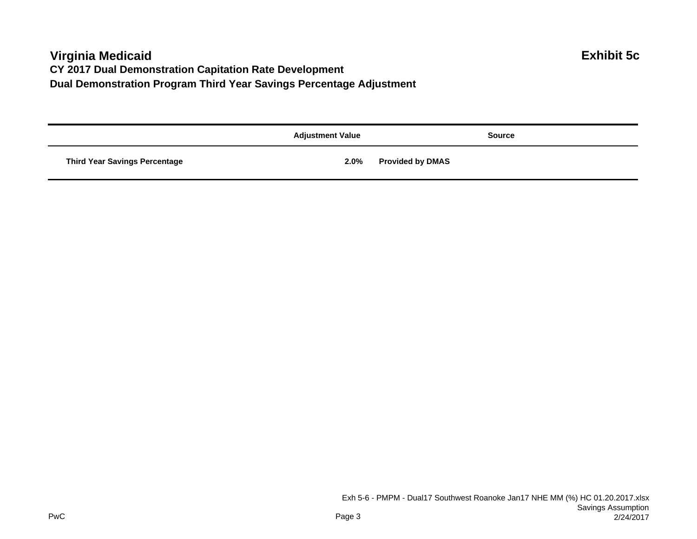# **Virginia Medicaid Exhibit 5c CY 2017 Dual Demonstration Capitation Rate Development Dual Demonstration Program Third Year Savings Percentage Adjustment**

|                                      | <b>Adjustment Value</b> | <b>Source</b>           |
|--------------------------------------|-------------------------|-------------------------|
| <b>Third Year Savings Percentage</b> | 2.0%                    | <b>Provided by DMAS</b> |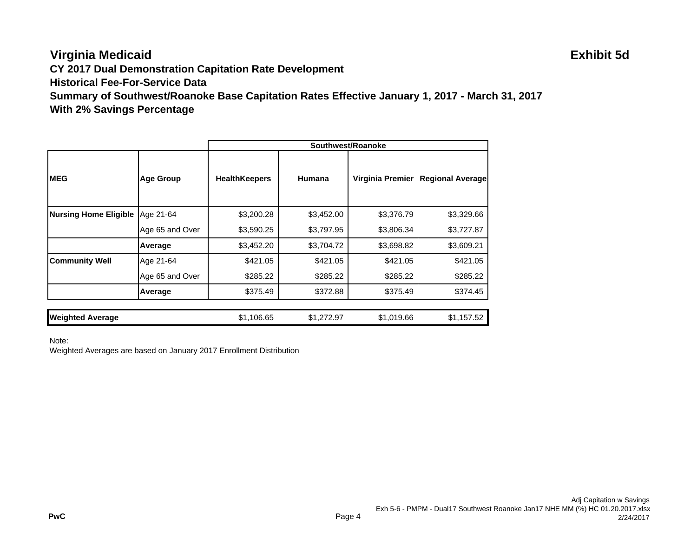# **Virginia Medicaid Exhibit 5d**

**CY 2017 Dual Demonstration Capitation Rate Development**

**Historical Fee-For-Service Data**

**Summary of Southwest/Roanoke Base Capitation Rates Effective January 1, 2017 - March 31, 2017 With 2% Savings Percentage**

|                              |                  | Southwest/Roanoke    |            |                  |                         |
|------------------------------|------------------|----------------------|------------|------------------|-------------------------|
| <b>IMEG</b>                  | <b>Age Group</b> | <b>HealthKeepers</b> | Humana     | Virginia Premier | <b>Regional Average</b> |
| <b>Nursing Home Eligible</b> | Age 21-64        | \$3,200.28           | \$3,452.00 | \$3,376.79       | \$3,329.66              |
|                              | Age 65 and Over  | \$3,590.25           | \$3,797.95 | \$3,806.34       | \$3,727.87              |
|                              | Average          | \$3,452.20           | \$3,704.72 | \$3,698.82       | \$3,609.21              |
| <b>Community Well</b>        | Age 21-64        | \$421.05             | \$421.05   | \$421.05         | \$421.05                |
|                              | Age 65 and Over  | \$285.22             | \$285.22   | \$285.22         | \$285.22                |
|                              | Average          | \$375.49             | \$372.88   | \$375.49         | \$374.45                |
|                              |                  |                      |            |                  |                         |
| <b>Weighted Average</b>      |                  | \$1,106.65           | \$1,272.97 | \$1,019.66       | \$1,157.52              |

Note:

Weighted Averages are based on January 2017 Enrollment Distribution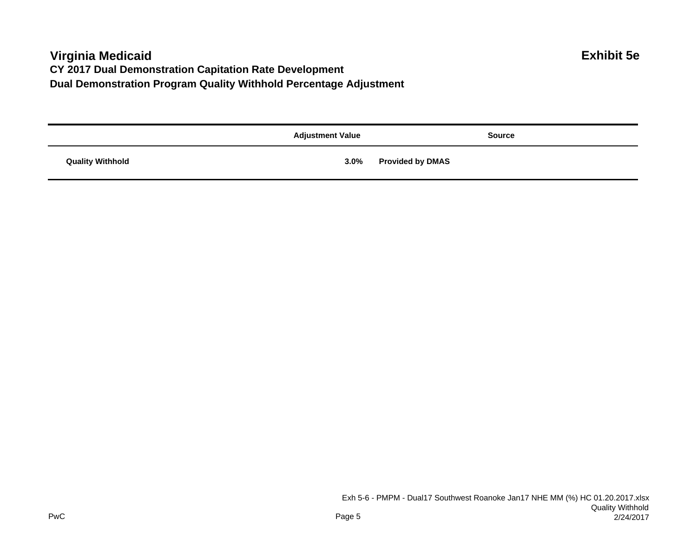# **Virginia Medicaid Exhibit 5e CY 2017 Dual Demonstration Capitation Rate Development Dual Demonstration Program Quality Withhold Percentage Adjustment**

|                         | <b>Adjustment Value</b> | <b>Source</b>           |
|-------------------------|-------------------------|-------------------------|
| <b>Quality Withhold</b> | $3.0\%$                 | <b>Provided by DMAS</b> |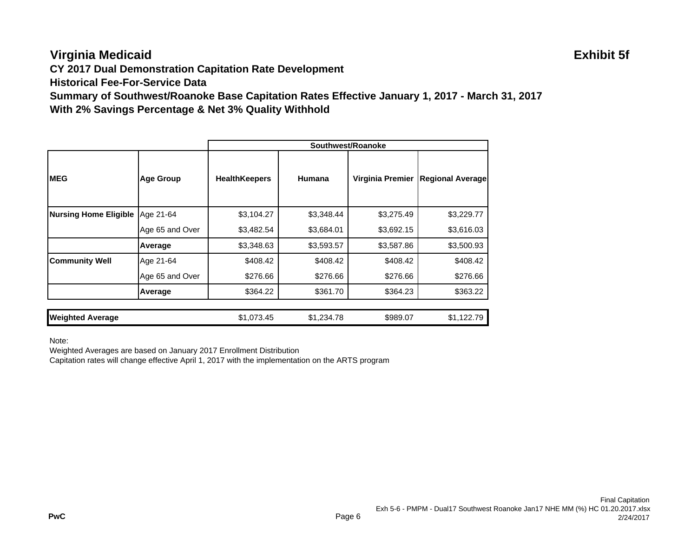# **Virginia Medicaid Exhibit 5f**

**CY 2017 Dual Demonstration Capitation Rate Development**

**Historical Fee-For-Service Data**

**Summary of Southwest/Roanoke Base Capitation Rates Effective January 1, 2017 - March 31, 2017 With 2% Savings Percentage & Net 3% Quality Withhold**

|                              |                  | Southwest/Roanoke    |            |                  |                         |
|------------------------------|------------------|----------------------|------------|------------------|-------------------------|
| <b>IMEG</b>                  | <b>Age Group</b> | <b>HealthKeepers</b> | Humana     | Virginia Premier | <b>Regional Average</b> |
| <b>Nursing Home Eligible</b> | Age 21-64        | \$3,104.27           | \$3,348.44 | \$3,275.49       | \$3,229.77              |
|                              | Age 65 and Over  | \$3,482.54           | \$3,684.01 | \$3,692.15       | \$3,616.03              |
|                              | Average          | \$3,348.63           | \$3,593.57 | \$3,587.86       | \$3,500.93              |
| <b>Community Well</b>        | Age 21-64        | \$408.42             | \$408.42   | \$408.42         | \$408.42                |
|                              | Age 65 and Over  | \$276.66             | \$276.66   | \$276.66         | \$276.66                |
|                              | Average          | \$364.22             | \$361.70   | \$364.23         | \$363.22                |
| <b>Weighted Average</b>      |                  | \$1,073.45           | \$1,234.78 | \$989.07         | \$1,122.79              |

Note:

Weighted Averages are based on January 2017 Enrollment Distribution

Capitation rates will change effective April 1, 2017 with the implementation on the ARTS program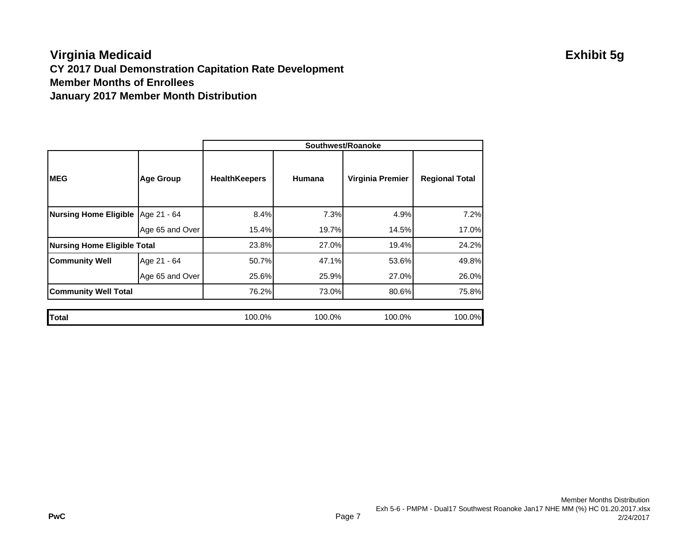## **Virginia Medicaid Exhibit 5g CY 2017 Dual Demonstration Capitation Rate Development Member Months of EnrolleesJanuary 2017 Member Month Distribution**

|                                    |                  | Southwest/Roanoke    |        |                  |                       |
|------------------------------------|------------------|----------------------|--------|------------------|-----------------------|
| <b>MEG</b>                         | <b>Age Group</b> | <b>HealthKeepers</b> | Humana | Virginia Premier | <b>Regional Total</b> |
| Nursing Home Eligible Age 21 - 64  |                  | 8.4%                 | 7.3%   | 4.9%             | 7.2%                  |
|                                    | Age 65 and Over  | 15.4%                | 19.7%  | 14.5%            | 17.0%                 |
| <b>Nursing Home Eligible Total</b> |                  | 23.8%                | 27.0%  | 19.4%            | 24.2%                 |
| <b>Community Well</b>              | Age 21 - 64      | 50.7%                | 47.1%  | 53.6%            | 49.8%                 |
|                                    | Age 65 and Over  | 25.6%                | 25.9%  | 27.0%            | 26.0%                 |
| <b>Community Well Total</b>        |                  | 76.2%                | 73.0%  | 80.6%            | 75.8%                 |
|                                    |                  |                      |        |                  |                       |
| <b>Total</b>                       |                  | 100.0%               | 100.0% | 100.0%           | 100.0%                |

### Member Months Distribution Exh 5-6 - PMPM - Dual17 Southwest Roanoke Jan17 NHE MM (%) HC 01.20.2017.xlsx 2/24/2017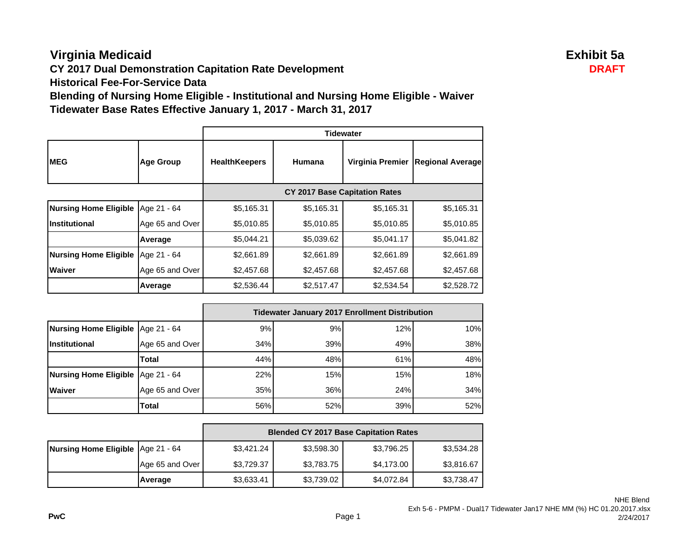# **Virginia Medicaid Exhibit 5a**

**CY 2017 Dual Demonstration Capitation Rate Development DRAFT** 

**Historical Fee-For-Service Data**

**Blending of Nursing Home Eligible - Institutional and Nursing Home Eligible - Waiver Tidewater Base Rates Effective January 1, 2017 - March 31, 2017**

|                              |                  | <b>Tidewater</b>                     |            |                  |                         |
|------------------------------|------------------|--------------------------------------|------------|------------------|-------------------------|
| <b>IMEG</b>                  | <b>Age Group</b> | <b>HealthKeepers</b>                 | Humana     | Virginia Premier | <b>Regional Average</b> |
|                              |                  | <b>CY 2017 Base Capitation Rates</b> |            |                  |                         |
| <b>Nursing Home Eligible</b> | Age 21 - 64      | \$5,165.31                           | \$5,165.31 | \$5,165.31       | \$5,165.31              |
| Institutional                | Age 65 and Over  | \$5,010.85                           | \$5,010.85 | \$5,010.85       | \$5,010.85              |
|                              | Average          | \$5,044.21                           | \$5,039.62 | \$5,041.17       | \$5,041.82              |
| <b>Nursing Home Eligible</b> | Age 21 - 64      | \$2,661.89                           | \$2,661.89 | \$2,661.89       | \$2,661.89              |
| <b>Waiver</b>                | Age 65 and Over  | \$2,457.68                           | \$2,457.68 | \$2,457.68       | \$2,457.68              |
|                              | Average          | \$2,536.44                           | \$2,517.47 | \$2,534.54       | \$2,528.72              |

|                                     |                 | <b>Tidewater January 2017 Enrollment Distribution</b> |     |     |     |
|-------------------------------------|-----------------|-------------------------------------------------------|-----|-----|-----|
| Nursing Home Eligible   Age 21 - 64 |                 | 9%                                                    | 9%  | 12% | 10% |
| <b>Institutional</b>                | Age 65 and Over | 34%                                                   | 39% | 49% | 38% |
|                                     | Total           | 44%                                                   | 48% | 61% | 48% |
| Nursing Home Eligible   Age 21 - 64 |                 | 22%                                                   | 15% | 15% | 18% |
| Waiver                              | Age 65 and Over | 35%                                                   | 36% | 24% | 34% |
|                                     | Total           | 56%                                                   | 52% | 39% | 52% |

|                                     |                 | <b>Blended CY 2017 Base Capitation Rates</b> |            |            |            |
|-------------------------------------|-----------------|----------------------------------------------|------------|------------|------------|
| Nursing Home Eligible   Age 21 - 64 |                 | \$3,421.24                                   | \$3,598.30 | \$3,796.25 | \$3,534.28 |
|                                     | Age 65 and Over | \$3,729.37                                   | \$3,783.75 | \$4,173.00 | \$3,816.67 |
|                                     | Average         | \$3,633.41                                   | \$3,739.02 | \$4,072.84 | \$3,738.47 |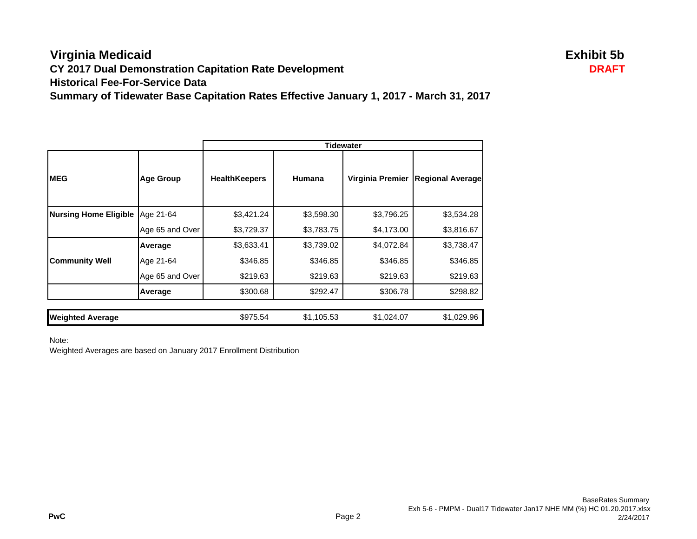### **Virginia Medicaid Exhibit 5b CY 2017 Dual Demonstration Capitation Rate Development DRAFT Historical Fee-For-Service DataSummary of Tidewater Base Capitation Rates Effective January 1, 2017 - March 31, 2017**

|                              |                  | <b>Tidewater</b>     |            |                  |                         |
|------------------------------|------------------|----------------------|------------|------------------|-------------------------|
| <b>IMEG</b>                  | <b>Age Group</b> | <b>HealthKeepers</b> | Humana     | Virginia Premier | <b>Regional Average</b> |
| <b>Nursing Home Eligible</b> | Age 21-64        | \$3,421.24           | \$3,598.30 | \$3,796.25       | \$3,534.28              |
|                              | Age 65 and Over  | \$3,729.37           | \$3,783.75 | \$4,173.00       | \$3,816.67              |
|                              | Average          | \$3,633.41           | \$3,739.02 | \$4,072.84       | \$3,738.47              |
| <b>Community Well</b>        | Age 21-64        | \$346.85             | \$346.85   | \$346.85         | \$346.85                |
|                              | Age 65 and Over  | \$219.63             | \$219.63   | \$219.63         | \$219.63                |
|                              | Average          | \$300.68             | \$292.47   | \$306.78         | \$298.82                |
|                              |                  |                      |            |                  |                         |
| <b>Weighted Average</b>      |                  | \$975.54             | \$1,105.53 | \$1,024.07       | \$1,029.96              |

Note:

Weighted Averages are based on January 2017 Enrollment Distribution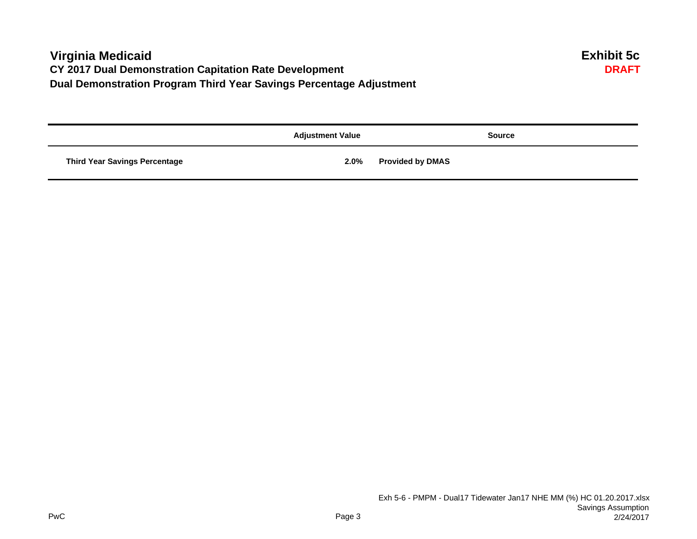## **Virginia Medicaid Exhibit 5c CY 2017 Dual Demonstration Capitation Rate Development Dual Demonstration Program Third Year Savings Percentage Adjustment**

|                                      | <b>Adjustment Value</b> | <b>Source</b>           |
|--------------------------------------|-------------------------|-------------------------|
| <b>Third Year Savings Percentage</b> | 2.0%                    | <b>Provided by DMAS</b> |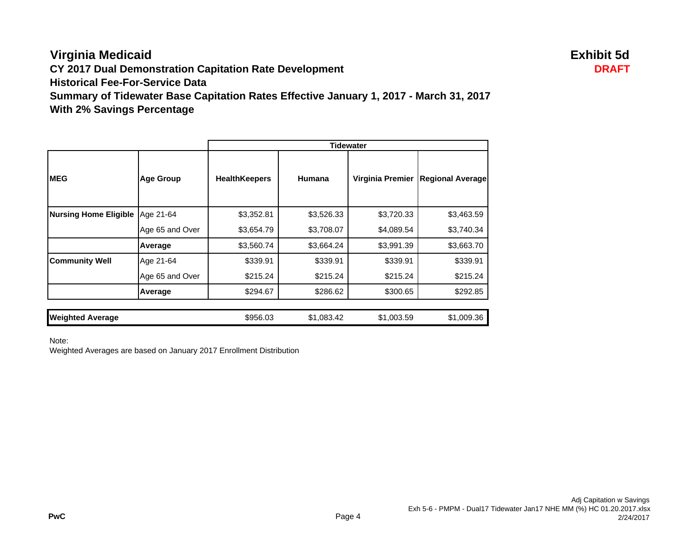**Virginia Medicaid Exhibit 5d CY 2017 Dual Demonstration Capitation Rate Development DRAFT Historical Fee-For-Service DataSummary of Tidewater Base Capitation Rates Effective January 1, 2017 - March 31, 2017 With 2% Savings Percentage**

|                              |                  | <b>Tidewater</b>     |            |                  |                         |
|------------------------------|------------------|----------------------|------------|------------------|-------------------------|
| <b>IMEG</b>                  | <b>Age Group</b> | <b>HealthKeepers</b> | Humana     | Virginia Premier | <b>Regional Average</b> |
| <b>Nursing Home Eligible</b> | Age 21-64        | \$3,352.81           | \$3,526.33 | \$3,720.33       | \$3,463.59              |
|                              | Age 65 and Over  | \$3,654.79           | \$3,708.07 | \$4,089.54       | \$3,740.34              |
|                              | Average          | \$3,560.74           | \$3,664.24 | \$3,991.39       | \$3,663.70              |
| <b>Community Well</b>        | Age 21-64        | \$339.91             | \$339.91   | \$339.91         | \$339.91                |
|                              | Age 65 and Over  | \$215.24             | \$215.24   | \$215.24         | \$215.24                |
|                              | Average          | \$294.67             | \$286.62   | \$300.65         | \$292.85                |
| <b>Weighted Average</b>      |                  | \$956.03             | \$1,083.42 | \$1,003.59       | \$1,009.36              |

Note:

Weighted Averages are based on January 2017 Enrollment Distribution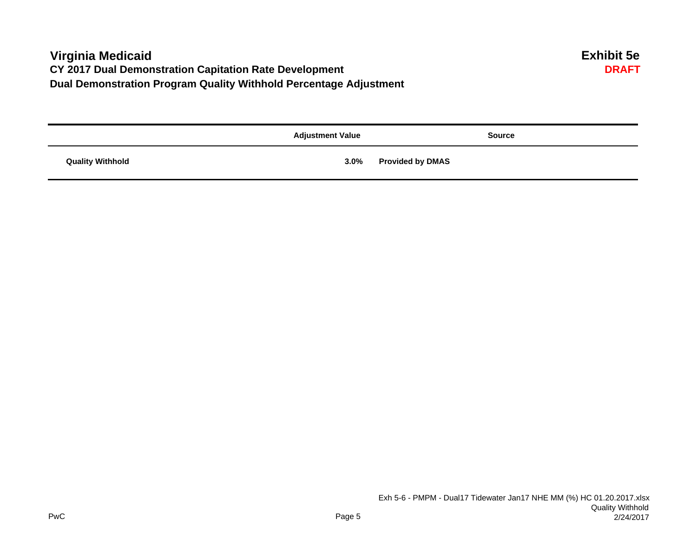## **Virginia Medicaid Exhibit 5e CY 2017 Dual Demonstration Capitation Rate Development Dual Demonstration Program Quality Withhold Percentage Adjustment**

|                         | <b>Adjustment Value</b> | <b>Source</b>           |
|-------------------------|-------------------------|-------------------------|
| <b>Quality Withhold</b> | 3.0%                    | <b>Provided by DMAS</b> |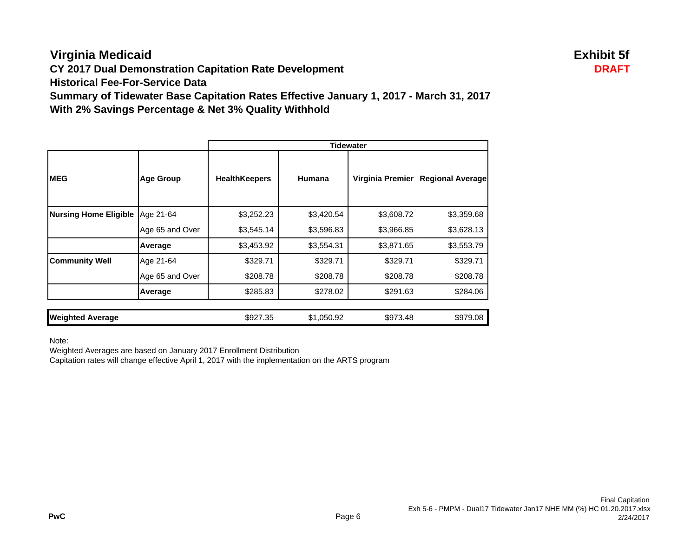# **Virginia Medicaid Exhibit 5f**

**CY 2017 Dual Demonstration Capitation Rate Development DRAFT**

**Historical Fee-For-Service Data**

**Summary of Tidewater Base Capitation Rates Effective January 1, 2017 - March 31, 2017 With 2% Savings Percentage & Net 3% Quality Withhold**

|                              |                  | <b>Tidewater</b>     |            |                  |                         |
|------------------------------|------------------|----------------------|------------|------------------|-------------------------|
| <b>IMEG</b>                  | <b>Age Group</b> | <b>HealthKeepers</b> | Humana     | Virginia Premier | <b>Regional Average</b> |
| <b>Nursing Home Eligible</b> | Age 21-64        | \$3,252.23           | \$3,420.54 | \$3,608.72       | \$3,359.68              |
|                              | Age 65 and Over  | \$3,545.14           | \$3,596.83 | \$3,966.85       | \$3,628.13              |
|                              | Average          | \$3,453.92           | \$3,554.31 | \$3,871.65       | \$3,553.79              |
| <b>Community Well</b>        | Age 21-64        | \$329.71             | \$329.71   | \$329.71         | \$329.71                |
|                              | Age 65 and Over  | \$208.78             | \$208.78   | \$208.78         | \$208.78                |
|                              | Average          | \$285.83             | \$278.02   | \$291.63         | \$284.06                |
|                              |                  |                      |            |                  |                         |
| <b>Weighted Average</b>      |                  | \$927.35             | \$1,050.92 | \$973.48         | \$979.08                |

Note:

Weighted Averages are based on January 2017 Enrollment Distribution

Capitation rates will change effective April 1, 2017 with the implementation on the ARTS program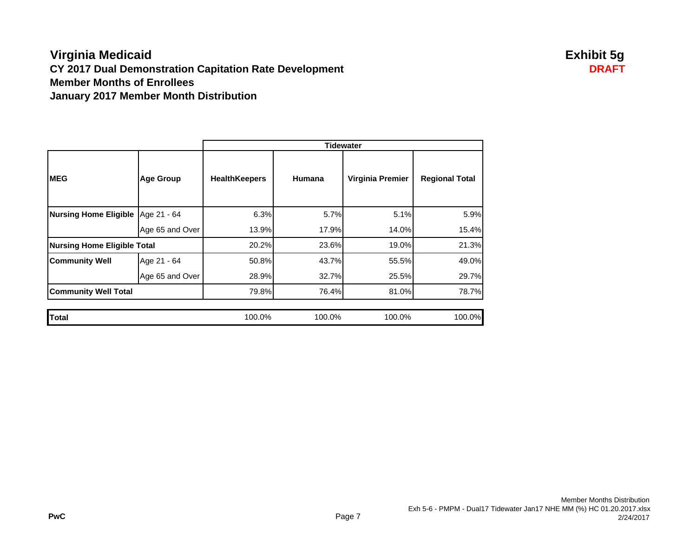## **Virginia Medicaid Exhibit 5g CY 2017 Dual Demonstration Capitation Rate Development DRAFT Member Months of EnrolleesJanuary 2017 Member Month Distribution**

|                                     |                  | <b>Tidewater</b>     |        |                  |                       |
|-------------------------------------|------------------|----------------------|--------|------------------|-----------------------|
| <b>MEG</b>                          | <b>Age Group</b> | <b>HealthKeepers</b> | Humana | Virginia Premier | <b>Regional Total</b> |
| Nursing Home Eligible   Age 21 - 64 |                  | 6.3%                 | 5.7%   | 5.1%             | 5.9%                  |
|                                     | Age 65 and Over  | 13.9%                | 17.9%  | 14.0%            | 15.4%                 |
| <b>Nursing Home Eligible Total</b>  |                  | 20.2%                | 23.6%  | 19.0%            | 21.3%                 |
| <b>Community Well</b>               | Age 21 - 64      | 50.8%                | 43.7%  | 55.5%            | 49.0%                 |
|                                     | Age 65 and Over  | 28.9%                | 32.7%  | 25.5%            | 29.7%                 |
| <b>Community Well Total</b>         |                  | 79.8%                | 76.4%  | 81.0%            | 78.7%                 |
|                                     |                  |                      |        |                  |                       |
| Total                               |                  | 100.0%               | 100.0% | 100.0%           | 100.0%                |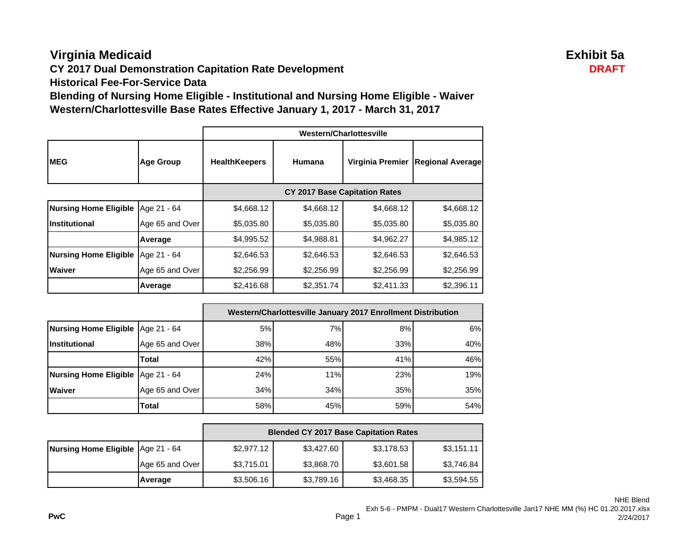# **Virginia Medicaid Exhibit 5a**

**CY 2017 Dual Demonstration Capitation Rate Development DRAFT**

**Historical Fee-For-Service Data**

**Blending of Nursing Home Eligible - Institutional and Nursing Home Eligible - Waiver Western/Charlottesville Base Rates Effective January 1, 2017 - March 31, 2017**

|                              |                  | Western/Charlottesville |                                      |                  |                         |
|------------------------------|------------------|-------------------------|--------------------------------------|------------------|-------------------------|
| <b>MEG</b>                   | <b>Age Group</b> | <b>HealthKeepers</b>    | Humana                               | Virginia Premier | <b>Regional Average</b> |
|                              |                  |                         | <b>CY 2017 Base Capitation Rates</b> |                  |                         |
| <b>Nursing Home Eligible</b> | Age 21 - 64      | \$4,668.12              | \$4,668.12                           | \$4,668.12       | \$4,668.12              |
| Institutional                | Age 65 and Over  | \$5,035.80              | \$5,035.80                           | \$5,035.80       | \$5,035.80              |
|                              | Average          | \$4,995.52              | \$4,988.81                           | \$4,962.27       | \$4,985.12              |
| <b>Nursing Home Eligible</b> | Age 21 - 64      | \$2,646.53              | \$2,646.53                           | \$2,646.53       | \$2,646.53              |
| <b>Waiver</b>                | Age 65 and Over  | \$2,256.99              | \$2,256.99                           | \$2,256.99       | \$2,256.99              |
|                              | Average          | \$2,416.68              | \$2,351.74                           | \$2,411.33       | \$2,396.11              |

|                                     |                 | Western/Charlottesville January 2017 Enrollment Distribution |     |     |     |
|-------------------------------------|-----------------|--------------------------------------------------------------|-----|-----|-----|
| Nursing Home Eligible   Age 21 - 64 |                 | 5%                                                           | 7%  | 8%  | 6%  |
| <b>Institutional</b>                | Age 65 and Over | 38%                                                          | 48% | 33% | 40% |
|                                     | Total           | 42%                                                          | 55% | 41% | 46% |
| Nursing Home Eligible   Age 21 - 64 |                 | 24%                                                          | 11% | 23% | 19% |
| <b>Waiver</b>                       | Age 65 and Over | 34%                                                          | 34% | 35% | 35% |
|                                     | Total           | 58%                                                          | 45% | 59% | 54% |

|                                   |                 | <b>Blended CY 2017 Base Capitation Rates</b> |            |            |            |
|-----------------------------------|-----------------|----------------------------------------------|------------|------------|------------|
| Nursing Home Eligible Age 21 - 64 |                 | \$2,977.12                                   | \$3,427.60 | \$3,178.53 | \$3,151.11 |
|                                   | Age 65 and Over | \$3,715.01                                   | \$3,868.70 | \$3,601.58 | \$3,746.84 |
|                                   | Average         | \$3,506.16                                   | \$3,789.16 | \$3,468.35 | \$3,594.55 |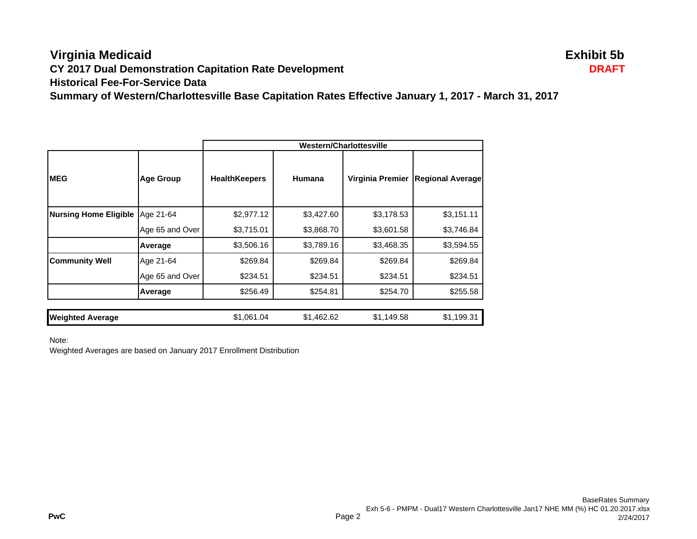## **Virginia Medicaid Exhibit 5b CY 2017 Dual Demonstration Capitation Rate Development DRAFT Historical Fee-For-Service DataSummary of Western/Charlottesville Base Capitation Rates Effective January 1, 2017 - March 31, 2017**

|                              |                  | <b>Western/Charlottesville</b> |            |                  |                         |
|------------------------------|------------------|--------------------------------|------------|------------------|-------------------------|
| <b>IMEG</b>                  | <b>Age Group</b> | <b>HealthKeepers</b>           | Humana     | Virginia Premier | <b>Regional Average</b> |
| <b>Nursing Home Eligible</b> | Age 21-64        | \$2,977.12                     | \$3,427.60 | \$3,178.53       | \$3,151.11              |
|                              | Age 65 and Over  | \$3,715.01                     | \$3,868.70 | \$3,601.58       | \$3,746.84              |
|                              | Average          | \$3,506.16                     | \$3,789.16 | \$3,468.35       | \$3,594.55              |
| <b>Community Well</b>        | Age 21-64        | \$269.84                       | \$269.84   | \$269.84         | \$269.84                |
|                              | Age 65 and Over  | \$234.51                       | \$234.51   | \$234.51         | \$234.51                |
|                              | Average          | \$256.49                       | \$254.81   | \$254.70         | \$255.58                |
|                              |                  |                                |            |                  |                         |
| <b>Weighted Average</b>      |                  | \$1,061.04                     | \$1,462.62 | \$1,149.58       | \$1,199.31              |

Note:

Weighted Averages are based on January 2017 Enrollment Distribution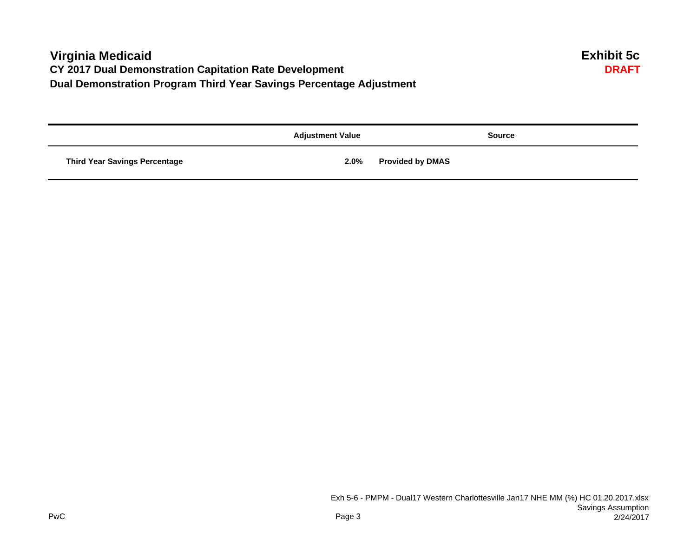# **Virginia Medicaid Exhibit 5c CY 2017 Dual Demonstration Capitation Rate Development Dual Demonstration Program Third Year Savings Percentage Adjustment**

|                                      | <b>Adjustment Value</b> | <b>Source</b>           |
|--------------------------------------|-------------------------|-------------------------|
| <b>Third Year Savings Percentage</b> | 2.0%                    | <b>Provided by DMAS</b> |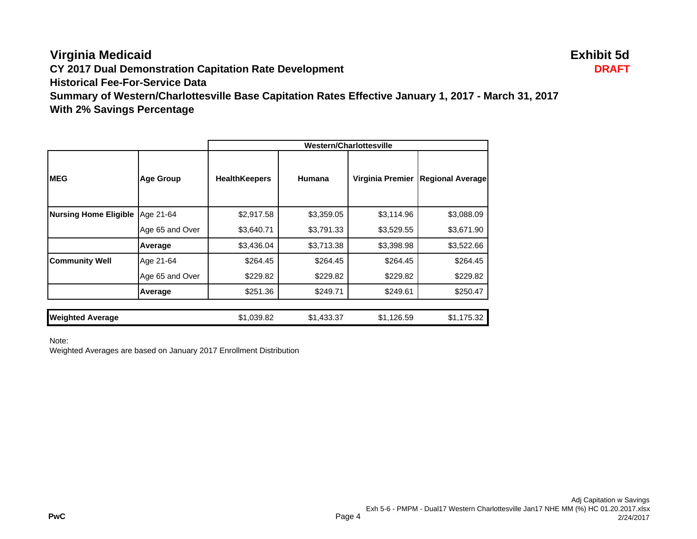# **Virginia Medicaid Exhibit 5d**

**CY 2017 Dual Demonstration Capitation Rate Development DRAFT**

**Historical Fee-For-Service Data**

**Summary of Western/Charlottesville Base Capitation Rates Effective January 1, 2017 - March 31, 2017 With 2% Savings Percentage**

|                              |                  | Western/Charlottesville |            |                  |                         |
|------------------------------|------------------|-------------------------|------------|------------------|-------------------------|
| <b>IMEG</b>                  | <b>Age Group</b> | <b>HealthKeepers</b>    | Humana     | Virginia Premier | <b>Regional Average</b> |
| <b>Nursing Home Eligible</b> | Age 21-64        | \$2,917.58              | \$3,359.05 | \$3,114.96       | \$3,088.09              |
|                              | Age 65 and Over  | \$3,640.71              | \$3,791.33 | \$3,529.55       | \$3,671.90              |
|                              | Average          | \$3,436.04              | \$3,713.38 | \$3,398.98       | \$3,522.66              |
| <b>Community Well</b>        | Age 21-64        | \$264.45                | \$264.45   | \$264.45         | \$264.45                |
|                              | Age 65 and Over  | \$229.82                | \$229.82   | \$229.82         | \$229.82                |
|                              | Average          | \$251.36                | \$249.71   | \$249.61         | \$250.47                |
| <b>Weighted Average</b>      |                  | \$1,039.82              | \$1,433.37 | \$1,126.59       | \$1,175.32              |

Note:

Weighted Averages are based on January 2017 Enrollment Distribution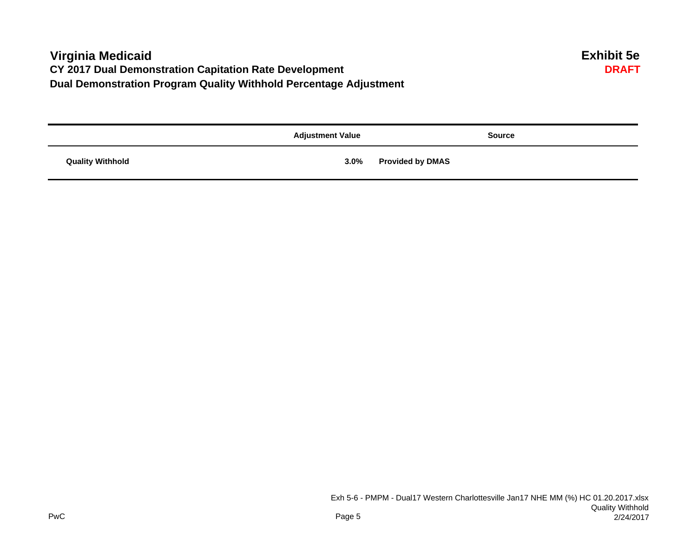# **Virginia Medicaid Exhibit 5e CY 2017 Dual Demonstration Capitation Rate Development Dual Demonstration Program Quality Withhold Percentage Adjustment**

|                         | <b>Adjustment Value</b> | <b>Source</b>           |
|-------------------------|-------------------------|-------------------------|
| <b>Quality Withhold</b> | 3.0%                    | <b>Provided by DMAS</b> |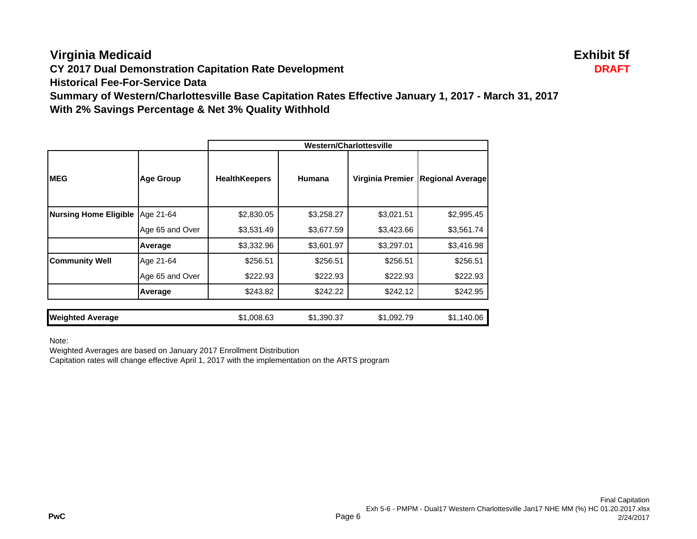# **Virginia Medicaid Exhibit 5f**

**CY 2017 Dual Demonstration Capitation Rate Development DRAFT**

**Historical Fee-For-Service Data**

**Summary of Western/Charlottesville Base Capitation Rates Effective January 1, 2017 - March 31, 2017 With 2% Savings Percentage & Net 3% Quality Withhold**

|                              |                  | Western/Charlottesville |            |                  |                         |
|------------------------------|------------------|-------------------------|------------|------------------|-------------------------|
| <b>MEG</b>                   | <b>Age Group</b> | <b>HealthKeepers</b>    | Humana     | Virginia Premier | <b>Regional Average</b> |
| <b>Nursing Home Eligible</b> | Age 21-64        | \$2,830.05              | \$3,258.27 | \$3,021.51       | \$2,995.45              |
|                              | Age 65 and Over  | \$3,531.49              | \$3,677.59 | \$3,423.66       | \$3,561.74              |
|                              | Average          | \$3,332.96              | \$3,601.97 | \$3,297.01       | \$3,416.98              |
| <b>Community Well</b>        | Age 21-64        | \$256.51                | \$256.51   | \$256.51         | \$256.51                |
|                              | Age 65 and Over  | \$222.93                | \$222.93   | \$222.93         | \$222.93                |
|                              | Average          | \$243.82                | \$242.22   | \$242.12         | \$242.95                |
|                              |                  |                         |            |                  |                         |
| <b>Weighted Average</b>      |                  | \$1,008.63              | \$1,390.37 | \$1,092.79       | \$1,140.06              |

Note:

Weighted Averages are based on January 2017 Enrollment Distribution

Capitation rates will change effective April 1, 2017 with the implementation on the ARTS program